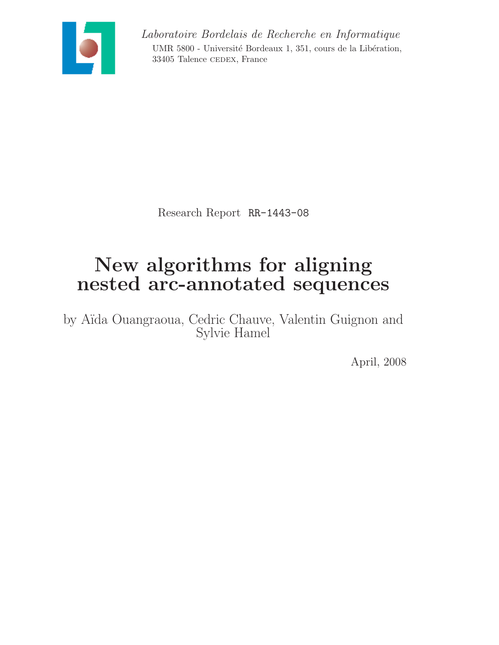

Laboratoire Bordelais de Recherche en Informatique UMR 5800 - Université Bordeaux 1, 351, cours de la Libération, 33405 Talence CEDEX, France

Research Report RR-1443-08

# New algorithms for aligning nested arc-annotated sequences

by A¨ıda Ouangraoua, Cedric Chauve, Valentin Guignon and Sylvie Hamel

April, 2008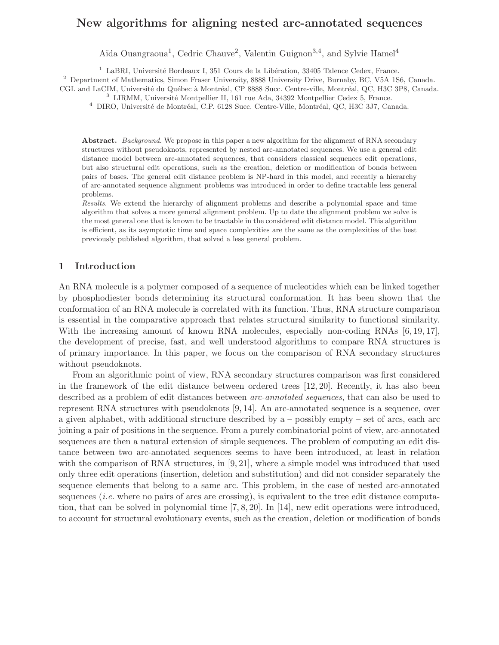# New algorithms for aligning nested arc-annotated sequences

Aïda Ouangraoua<sup>1</sup>, Cedric Chauve<sup>2</sup>, Valentin Guignon<sup>3,4</sup>, and Sylvie Hamel<sup>4</sup>

 $1$  LaBRI, Université Bordeaux I, 351 Cours de la Libération, 33405 Talence Cedex, France.

<sup>2</sup> Department of Mathematics, Simon Fraser University, 8888 University Drive, Burnaby, BC, V5A 1S6, Canada. CGL and LaCIM, Université du Québec à Montréal, CP 8888 Succ. Centre-ville, Montréal, QC, H3C 3P8, Canada.

 $^3$  LIRMM, Université Montpellier II, 161 rue Ada, 34392 Montpellier Cedex 5, France.

 $^4$  DIRO, Université de Montréal, C.P. 6128 Succ. Centre-Ville, Montréal, QC, H3C 3J7, Canada.

Abstract. *Background*. We propose in this paper a new algorithm for the alignment of RNA secondary structures without pseudoknots, represented by nested arc-annotated sequences. We use a general edit distance model between arc-annotated sequences, that considers classical sequences edit operations, but also structural edit operations, such as the creation, deletion or modification of bonds between pairs of bases. The general edit distance problem is NP-hard in this model, and recently a hierarchy of arc-annotated sequence alignment problems was introduced in order to define tractable less general problems.

Results. We extend the hierarchy of alignment problems and describe a polynomial space and time algorithm that solves a more general alignment problem. Up to date the alignment problem we solve is the most general one that is known to be tractable in the considered edit distance model. This algorithm is efficient, as its asymptotic time and space complexities are the same as the complexities of the best previously published algorithm, that solved a less general problem.

### 1 Introduction

An RNA molecule is a polymer composed of a sequence of nucleotides which can be linked together by phosphodiester bonds determining its structural conformation. It has been shown that the conformation of an RNA molecule is correlated with its function. Thus, RNA structure comparison is essential in the comparative approach that relates structural similarity to functional similarity. With the increasing amount of known RNA molecules, especially non-coding RNAs [6, 19, 17], the development of precise, fast, and well understood algorithms to compare RNA structures is of primary importance. In this paper, we focus on the comparison of RNA secondary structures without pseudoknots.

From an algorithmic point of view, RNA secondary structures comparison was first considered in the framework of the edit distance between ordered trees [12, 20]. Recently, it has also been described as a problem of edit distances between *arc-annotated sequences*, that can also be used to represent RNA structures with pseudoknots [9, 14]. An arc-annotated sequence is a sequence, over a given alphabet, with additional structure described by  $a -$  possibly empty – set of arcs, each arc joining a pair of positions in the sequence. From a purely combinatorial point of view, arc-annotated sequences are then a natural extension of simple sequences. The problem of computing an edit distance between two arc-annotated sequences seems to have been introduced, at least in relation with the comparison of RNA structures, in [9, 21], where a simple model was introduced that used only three edit operations (insertion, deletion and substitution) and did not consider separately the sequence elements that belong to a same arc. This problem, in the case of nested arc-annotated sequences *(i.e.* where no pairs of arcs are crossing), is equivalent to the tree edit distance computation, that can be solved in polynomial time [7, 8, 20]. In [14], new edit operations were introduced, to account for structural evolutionary events, such as the creation, deletion or modification of bonds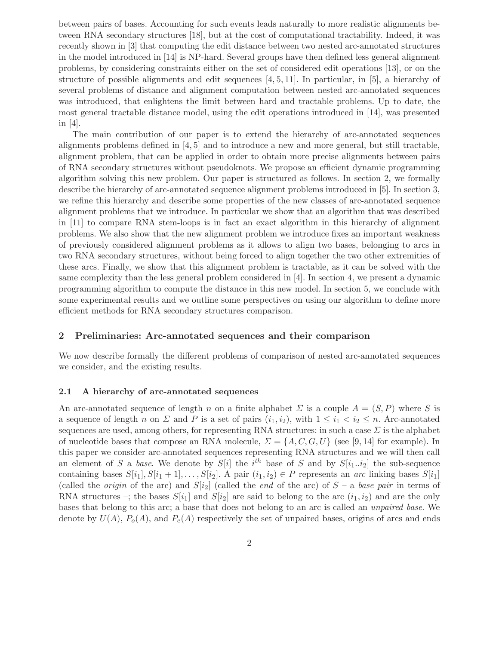between pairs of bases. Accounting for such events leads naturally to more realistic alignments between RNA secondary structures [18], but at the cost of computational tractability. Indeed, it was recently shown in [3] that computing the edit distance between two nested arc-annotated structures in the model introduced in [14] is NP-hard. Several groups have then defined less general alignment problems, by considering constraints either on the set of considered edit operations [13], or on the structure of possible alignments and edit sequences [4, 5, 11]. In particular, in [5], a hierarchy of several problems of distance and alignment computation between nested arc-annotated sequences was introduced, that enlightens the limit between hard and tractable problems. Up to date, the most general tractable distance model, using the edit operations introduced in [14], was presented in [4].

The main contribution of our paper is to extend the hierarchy of arc-annotated sequences alignments problems defined in [4, 5] and to introduce a new and more general, but still tractable, alignment problem, that can be applied in order to obtain more precise alignments between pairs of RNA secondary structures without pseudoknots. We propose an efficient dynamic programming algorithm solving this new problem. Our paper is structured as follows. In section 2, we formally describe the hierarchy of arc-annotated sequence alignment problems introduced in [5]. In section 3, we refine this hierarchy and describe some properties of the new classes of arc-annotated sequence alignment problems that we introduce. In particular we show that an algorithm that was described in [11] to compare RNA stem-loops is in fact an exact algorithm in this hierarchy of alignment problems. We also show that the new alignment problem we introduce fixes an important weakness of previously considered alignment problems as it allows to align two bases, belonging to arcs in two RNA secondary structures, without being forced to align together the two other extremities of these arcs. Finally, we show that this alignment problem is tractable, as it can be solved with the same complexity than the less general problem considered in [4]. In section 4, we present a dynamic programming algorithm to compute the distance in this new model. In section 5, we conclude with some experimental results and we outline some perspectives on using our algorithm to define more efficient methods for RNA secondary structures comparison.

#### 2 Preliminaries: Arc-annotated sequences and their comparison

We now describe formally the different problems of comparison of nested arc-annotated sequences we consider, and the existing results.

#### 2.1 A hierarchy of arc-annotated sequences

An arc-annotated sequence of length n on a finite alphabet  $\Sigma$  is a couple  $A = (S, P)$  where S is a sequence of length n on  $\Sigma$  and P is a set of pairs  $(i_1,i_2)$ , with  $1 \leq i_1 < i_2 \leq n$ . Arc-annotated sequences are used, among others, for representing RNA structures: in such a case  $\Sigma$  is the alphabet of nucleotide bases that compose an RNA molecule,  $\Sigma = \{A, C, G, U\}$  (see [9,14] for example). In this paper we consider arc-annotated sequences representing RNA structures and we will then call an element of S a base. We denote by  $S[i]$  the  $i<sup>th</sup>$  base of S and by  $S[i_1..i_2]$  the sub-sequence containing bases  $S[i_1], S[i_1 + 1], \ldots, S[i_2]$ . A pair  $(i_1, i_2) \in P$  represents an arc linking bases  $S[i_1]$ (called the *origin* of the arc) and  $S[i_2]$  (called the *end* of the arc) of  $S$  – a base pair in terms of RNA structures –; the bases  $S[i_1]$  and  $S[i_2]$  are said to belong to the arc  $(i_1,i_2)$  and are the only bases that belong to this arc; a base that does not belong to an arc is called an unpaired base. We denote by  $U(A)$ ,  $P_o(A)$ , and  $P_e(A)$  respectively the set of unpaired bases, origins of arcs and ends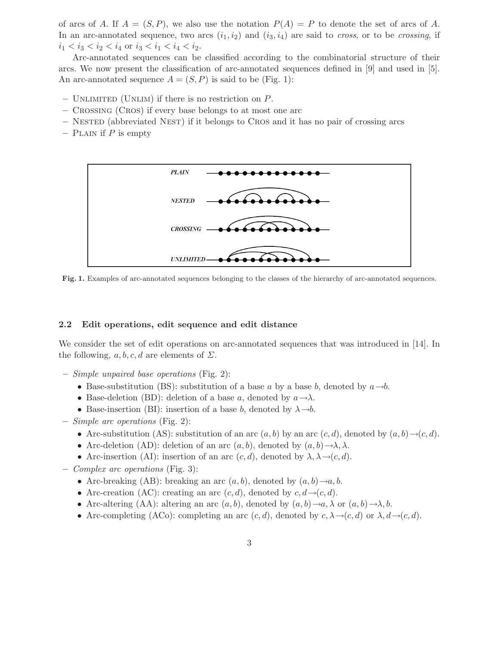of arcs of A. If  $A = (S, P)$ , we also use the notation  $P(A) = P$  to denote the set of arcs of A. In an arc-annotated sequence, two arcs  $(i_1,i_2)$  and  $(i_3,i_4)$  are said to *cross*, or to be *crossing*, if  $i_1 < i_3 < i_2 < i_4$  or  $i_3 < i_1 < i_4 < i_2$ .

Arc-annotated sequences can be classified according to the combinatorial structure of their arcs. We now present the classification of arc-annotated sequences defined in [9] and used in [5]. An arc-annotated sequence  $A = (S, P)$  is said to be (Fig. 1):

- $-$  UNLIMITED (UNLIM) if there is no restriction on  $P$ .
- Crossing (Cros) if every base belongs to at most one arc
- Nested (abbreviated Nest) if it belongs to Cros and it has no pair of crossing arcs
- PLAIN if  $P$  is empty



Fig. 1. Examples of arc-annotated sequences belonging to the classes of the hierarchy of arc-annotated sequences.

#### 2.2 Edit operations, edit sequence and edit distance

We consider the set of edit operations on arc-annotated sequences that was introduced in [14]. In the following,  $a, b, c, d$  are elements of  $\Sigma$ .

- Simple unpaired base operations (Fig. 2):
	- Base-substitution (BS): substitution of a base a by a base b, denoted by  $a\rightarrow b$ .
	- Base-deletion (BD): deletion of a base a, denoted by  $a \rightarrow \lambda$ .
	- Base-insertion (BI): insertion of a base b, denoted by  $\lambda \rightarrow b$ .
- Simple arc operations (Fig. 2):
	- Arc-substitution (AS): substitution of an arc  $(a, b)$  by an arc  $(c, d)$ , denoted by  $(a, b) \rightarrow (c, d)$ .
	- Arc-deletion (AD): deletion of an arc  $(a, b)$ , denoted by  $(a, b) \rightarrow \lambda, \lambda$ .
	- Arc-insertion (AI): insertion of an arc  $(c, d)$ , denoted by  $\lambda, \lambda \rightarrow (c, d)$ .
- Complex arc operations (Fig. 3):
	- Arc-breaking (AB): breaking an arc  $(a, b)$ , denoted by  $(a, b) \rightarrow a, b$ .
	- Arc-creation (AC): creating an arc  $(c, d)$ , denoted by  $c, d \rightarrow (c, d)$ .
	- Arc-altering (AA): altering an arc  $(a, b)$ , denoted by  $(a, b) \rightarrow a$ ,  $\lambda$  or  $(a, b) \rightarrow \lambda$ , b.
	- Arc-completing (ACo): completing an arc  $(c, d)$ , denoted by  $c, \lambda \rightarrow (c, d)$  or  $\lambda, d \rightarrow (c, d)$ .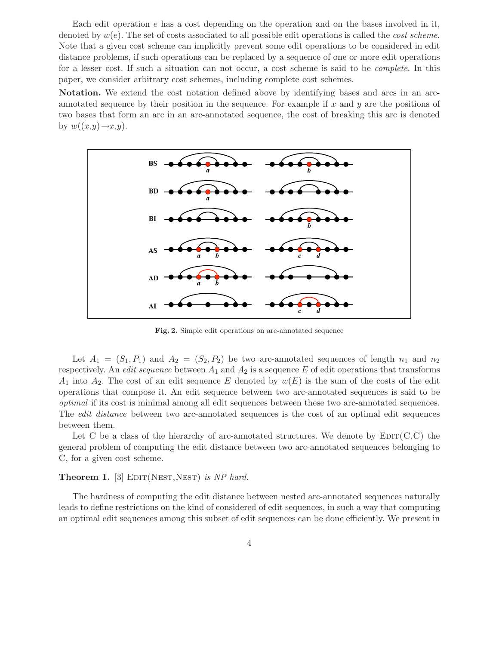Each edit operation e has a cost depending on the operation and on the bases involved in it, denoted by  $w(e)$ . The set of costs associated to all possible edit operations is called the *cost scheme*. Note that a given cost scheme can implicitly prevent some edit operations to be considered in edit distance problems, if such operations can be replaced by a sequence of one or more edit operations for a lesser cost. If such a situation can not occur, a cost scheme is said to be complete. In this paper, we consider arbitrary cost schemes, including complete cost schemes.

Notation. We extend the cost notation defined above by identifying bases and arcs in an arcannotated sequence by their position in the sequence. For example if x and y are the positions of two bases that form an arc in an arc-annotated sequence, the cost of breaking this arc is denoted by  $w((x,y) \rightarrow x,y)$ .



Fig. 2. Simple edit operations on arc-annotated sequence

Let  $A_1 = (S_1, P_1)$  and  $A_2 = (S_2, P_2)$  be two arc-annotated sequences of length  $n_1$  and  $n_2$ respectively. An *edit sequence* between  $A_1$  and  $A_2$  is a sequence E of edit operations that transforms  $A_1$  into  $A_2$ . The cost of an edit sequence E denoted by  $w(E)$  is the sum of the costs of the edit operations that compose it. An edit sequence between two arc-annotated sequences is said to be optimal if its cost is minimal among all edit sequences between these two arc-annotated sequences. The edit distance between two arc-annotated sequences is the cost of an optimal edit sequences between them.

Let C be a class of the hierarchy of arc-annotated structures. We denote by  $\text{EDIT}(C, C)$  the general problem of computing the edit distance between two arc-annotated sequences belonging to C, for a given cost scheme.

**Theorem 1.** [3]  $EDIT(NEST,NEST)$  is NP-hard.

The hardness of computing the edit distance between nested arc-annotated sequences naturally leads to define restrictions on the kind of considered of edit sequences, in such a way that computing an optimal edit sequences among this subset of edit sequences can be done efficiently. We present in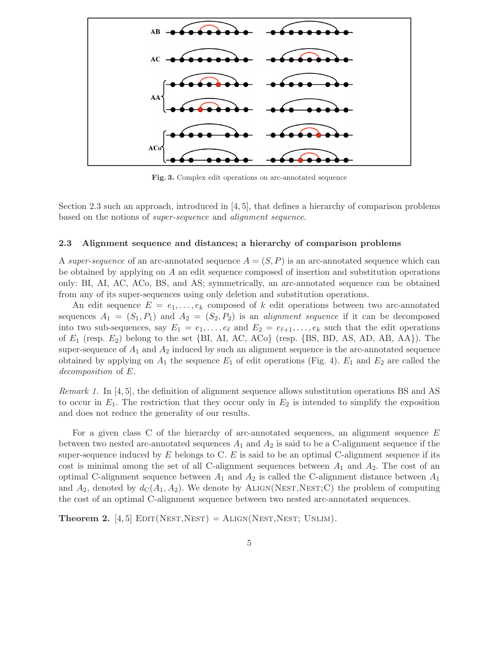

Fig. 3. Complex edit operations on arc-annotated sequence

Section 2.3 such an approach, introduced in [4, 5], that defines a hierarchy of comparison problems based on the notions of super-sequence and alignment sequence.

#### 2.3 Alignment sequence and distances; a hierarchy of comparison problems

A super-sequence of an arc-annotated sequence  $A = (S, P)$  is an arc-annotated sequence which can be obtained by applying on A an edit sequence composed of insertion and substitution operations only: BI, AI, AC, ACo, BS, and AS; symmetrically, an arc-annotated sequence can be obtained from any of its super-sequences using only deletion and substitution operations.

An edit sequence  $E = e_1, \ldots, e_k$  composed of k edit operations between two arc-annotated sequences  $A_1 = (S_1, P_1)$  and  $A_2 = (S_2, P_2)$  is an *alignment sequence* if it can be decomposed into two sub-sequences, say  $E_1 = e_1, \ldots, e_\ell$  and  $E_2 = e_{\ell+1}, \ldots, e_k$  such that the edit operations of  $E_1$  (resp.  $E_2$ ) belong to the set {BI, AI, AC, ACo} (resp. {BS, BD, AS, AD, AB, AA}). The super-sequence of  $A_1$  and  $A_2$  induced by such an alignment sequence is the arc-annotated sequence obtained by applying on  $A_1$  the sequence  $E_1$  of edit operations (Fig. 4).  $E_1$  and  $E_2$  are called the decomposition of E.

*Remark 1.* In [4, 5], the definition of alignment sequence allows substitution operations BS and AS to occur in  $E_1$ . The restriction that they occur only in  $E_2$  is intended to simplify the exposition and does not reduce the generality of our results.

For a given class C of the hierarchy of arc-annotated sequences, an alignment sequence E between two nested arc-annotated sequences  $A_1$  and  $A_2$  is said to be a C-alignment sequence if the super-sequence induced by  $E$  belongs to C.  $E$  is said to be an optimal C-alignment sequence if its cost is minimal among the set of all C-alignment sequences between  $A_1$  and  $A_2$ . The cost of an optimal C-alignment sequence between  $A_1$  and  $A_2$  is called the C-alignment distance between  $A_1$ and  $A_2$ , denoted by  $d_C(A_1, A_2)$ . We denote by ALIGN(NEST,NEST;C) the problem of computing the cost of an optimal C-alignment sequence between two nested arc-annotated sequences.

**Theorem 2.** [4,5]  $\text{EDIT(NEST,NEST)} = \text{ALIGN(NEST,NEST; UNLIM)}$ .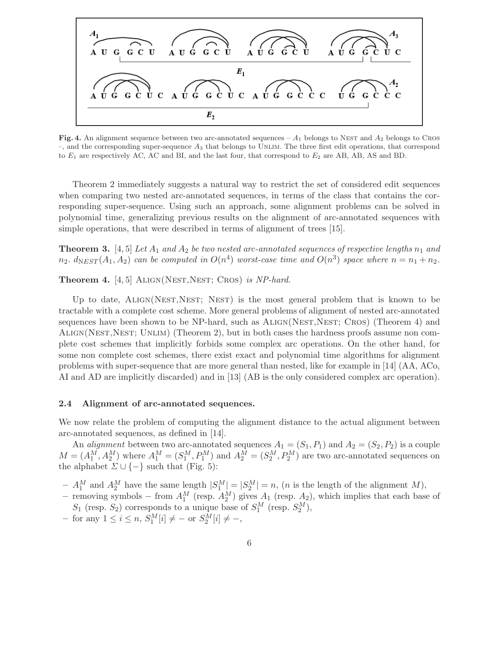

Fig. 4. An alignment sequence between two arc-annotated sequences –  $A_1$  belongs to Nest and  $A_2$  belongs to Cros  $-$ , and the corresponding super-sequence  $A_3$  that belongs to UNLIM. The three first edit operations, that correspond to  $E_1$  are respectively AC, AC and BI, and the last four, that correspond to  $E_2$  are AB, AB, AS and BD.

Theorem 2 immediately suggests a natural way to restrict the set of considered edit sequences when comparing two nested arc-annotated sequences, in terms of the class that contains the corresponding super-sequence. Using such an approach, some alignment problems can be solved in polynomial time, generalizing previous results on the alignment of arc-annotated sequences with simple operations, that were described in terms of alignment of trees [15].

**Theorem 3.** [4, 5] Let  $A_1$  and  $A_2$  be two nested arc-annotated sequences of respective lengths  $n_1$  and  $n_2$ .  $d_{NEST}(A_1, A_2)$  can be computed in  $O(n^4)$  worst-case time and  $O(n^3)$  space where  $n = n_1 + n_2$ .

Theorem 4. [4, 5] ALIGN(NEST, NEST; CROS) is NP-hard.

Up to date, ALIGN(NEST, NEST; NEST) is the most general problem that is known to be tractable with a complete cost scheme. More general problems of alignment of nested arc-annotated sequences have been shown to be  $NP$ -hard, such as  $ALIGN(NET, NEST; CROS)$  (Theorem 4) and Align(Nest,Nest; Unlim) (Theorem 2), but in both cases the hardness proofs assume non complete cost schemes that implicitly forbids some complex arc operations. On the other hand, for some non complete cost schemes, there exist exact and polynomial time algorithms for alignment problems with super-sequence that are more general than nested, like for example in [14] (AA, ACo, AI and AD are implicitly discarded) and in [13] (AB is the only considered complex arc operation).

#### 2.4 Alignment of arc-annotated sequences.

We now relate the problem of computing the alignment distance to the actual alignment between arc-annotated sequences, as defined in [14].

An *alignment* between two arc-annotated sequences  $A_1 = (S_1, P_1)$  and  $A_2 = (S_2, P_2)$  is a couple  $M = (A_1^M, A_2^M)$  where  $A_1^M = (S_1^M, P_1^M)$  and  $A_2^M = (S_2^M, P_2^M)$  are two arc-annotated sequences on the alphabet  $\Sigma \cup \{-\}$  such that (Fig. 5):

- $-A_1^M$  and  $A_2^M$  have the same length  $|S_1^M|=|S_2^M|=n$ , (*n* is the length of the alignment M),
- − removing symbols − from  $A_1^M$  (resp.  $A_2^M$ ) gives  $A_1$  (resp.  $A_2$ ), which implies that each base of  $S_1$  (resp.  $S_2$ ) corresponds to a unique base of  $S_1^M$  (resp.  $S_2^M$ ),
- $-$  for any  $1 \le i \le n$ ,  $S_1^M[i] \ne -$  or  $S_2^M[i] \ne -$ ,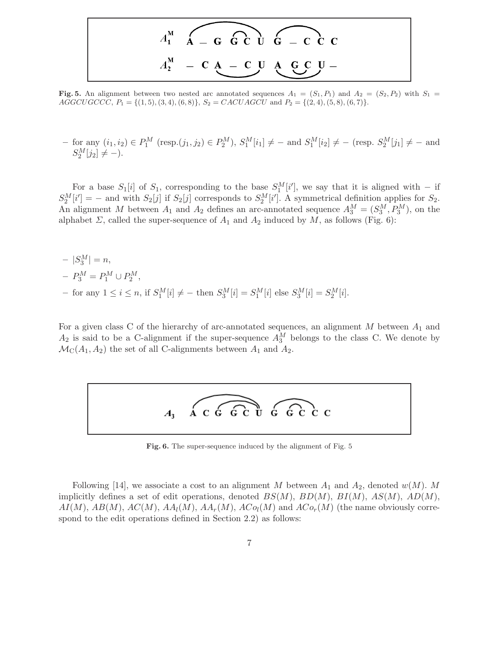

Fig. 5. An alignment between two nested arc annotated sequences  $A_1 = (S_1, P_1)$  and  $A_2 = (S_2, P_2)$  with  $S_1 =$  $AGGCUGCCC, P_1 = \{(1, 5), (3, 4), (6, 8)\}, S_2 = CACUAGCU \text{ and } P_2 = \{(2, 4), (5, 8), (6, 7)\}.$ 

 $-$  for any  $(i_1, i_2) \in P_1^M$  (resp. $(j_1, j_2) \in P_2^M$ ),  $S_1^M[i_1] \neq -$  and  $S_1^M[i_2] \neq -$  (resp.  $S_2^M[j_1] \neq -$  and  $S_2^M[j_2] \neq -).$ 

For a base  $S_1[i]$  of  $S_1$ , corresponding to the base  $S_1^M[i']$ , we say that it is aligned with – if  $S_2^M[i'] = -$  and with  $S_2[j]$  if  $S_2[j]$  corresponds to  $S_2^M[i']$ . A symmetrical definition applies for  $S_2$ . An alignment M between  $A_1$  and  $A_2$  defines an arc-annotated sequence  $A_3^M = (S_3^M, P_3^M)$ , on the alphabet  $\Sigma$ , called the super-sequence of  $A_1$  and  $A_2$  induced by  $M$ , as follows (Fig. 6):

 $-|S_3^M|=n,$  $-P_3^M = P_1^M \cup P_2^M,$ - for any  $1 \le i \le n$ , if  $S_1^M[i] \ne -$  then  $S_3^M[i] = S_1^M[i]$  else  $S_3^M[i] = S_2^M[i]$ .

For a given class C of the hierarchy of arc-annotated sequences, an alignment M between  $A_1$  and  $A_2$  is said to be a C-alignment if the super-sequence  $A_3^M$  belongs to the class C. We denote by  $\mathcal{M}_C(A_1, A_2)$  the set of all C-alignments between  $A_1$  and  $A_2$ .



Fig. 6. The super-sequence induced by the alignment of Fig. 5

Following [14], we associate a cost to an alignment M between  $A_1$  and  $A_2$ , denoted  $w(M)$ . M implicitly defines a set of edit operations, denoted  $BS(M)$ ,  $BD(M)$ ,  $BI(M)$ ,  $AS(M)$ ,  $AD(M)$ ,  $AI(M)$ ,  $AB(M)$ ,  $AC(M)$ ,  $AA_l(M)$ ,  $AA_r(M)$ ,  $ACo_l(M)$  and  $ACo_r(M)$  (the name obviously correspond to the edit operations defined in Section 2.2) as follows: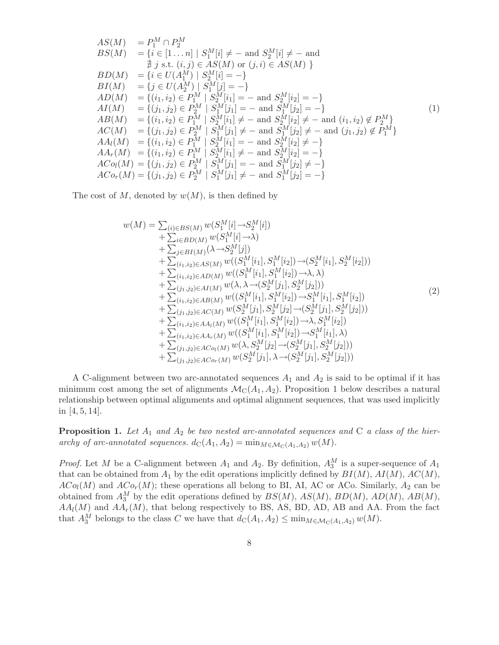$$
AS(M) = P_1^M \cap P_2^M
$$
  
\n
$$
BS(M) = \{i \in [1...n] \mid S_1^M[i] \neq - \text{ and } S_2^M[i] \neq - \text{ and } \nexists j \text{ s.t. } (i, j) \in AS(M) \text{ or } (j, i) \in AS(M) \}
$$
  
\n
$$
BD(M) = \{i \in U(A_1^M) \mid S_2^M[i] = -\}
$$
  
\n
$$
BI(M) = \{j \in U(A_2^M) \mid S_1^M[j] = -\}
$$
  
\n
$$
AD(M) = \{(i_1, i_2) \in P_1^M \mid S_2^M[i_1] = - \text{ and } S_2^M[i_2] = -\}
$$
  
\n
$$
AI(M) = \{(j_1, j_2) \in P_2^M \mid S_1^M[j_1] = - \text{ and } S_1^M[j_2] = -\}
$$
  
\n
$$
AB(M) = \{(i_1, i_2) \in P_1^M \mid S_2^M[i_1] \neq - \text{ and } S_2^M[i_2] \neq - \text{ and } (i_1, i_2) \notin P_2^M\}
$$
  
\n
$$
AC(M) = \{(j_1, j_2) \in P_2^M \mid S_1^M[j_1] \neq - \text{ and } S_1^M[j_2] \neq - \text{ and } (j_1, j_2) \notin P_1^M\}
$$
  
\n
$$
AA_l(M) = \{(i_1, i_2) \in P_1^M \mid S_2^M[i_1] = - \text{ and } S_2^M[i_2] \neq -\}
$$
  
\n
$$
AA_r(M) = \{(i_1, i_2) \in P_1^M \mid S_2^M[i_1] \neq - \text{ and } S_2^M[i_2] = -\}
$$
  
\n
$$
ACo_l(M) = \{(j_1, j_2) \in P_2^M \mid S_1^M[j_1] = - \text{ and } S_1^M[j_2] \neq -\}
$$
  
\n
$$
ACo_r(M) = \{(j_1, j_2) \in P_2^M \mid S_1^M[j_1] \neq - \text{ and } S_1^M[j_2] =
$$

The cost of M, denoted by  $w(M)$ , is then defined by

$$
w(M) = \sum_{(i) \in BS(M)} w(S_1^M[i] \to S_2^M[i])
$$
  
+ 
$$
\sum_{i \in BD(M)} w(S_1^M[i] \to \lambda)
$$
  
+ 
$$
\sum_{j \in BI(M)} (\lambda \to S_2^M[j])
$$
  
+ 
$$
\sum_{(i_1, i_2) \in AS(M)} w((S_1^M[i_1], S_1^M[i_2]) \to (S_2^M[i_1], S_2^M[i_2]))
$$
  
+ 
$$
\sum_{(i_1, i_2) \in AD(M)} w((S_1^M[i_1], S_1^M[i_2]) \to \lambda, \lambda)
$$
  
+ 
$$
\sum_{(j_1, j_2) \in AI(M)} w(\lambda, \lambda \to (S_2^M[j_1], S_2^M[j_2]))
$$
  
+ 
$$
\sum_{(i_1, i_2) \in AB(M)} w((S_1^M[i_1], S_1^M[i_2]) \to S_1^M[i_1], S_1^M[i_2])
$$
  
+ 
$$
\sum_{(i_1, i_2) \in AC(M)} w(S_2^M[j_1], S_2^M[j_2] \to (S_2^M[j_1], S_2^M[j_2]))
$$
  
+ 
$$
\sum_{(i_1, i_2) \in AA_l(M)} w((S_1^M[i_1], S_1^M[i_2]) \to \lambda, S_1^M[i_2])
$$
  
+ 
$$
\sum_{(i_1, i_2) \in AA_r(M)} w((S_1^M[i_1], S_1^M[i_2]) \to S_1^M[i_1], \lambda)
$$
  
+ 
$$
\sum_{(j_1, j_2) \in ACo_l(M)} w(S_2^M[j_1], \lambda \to (S_2^M[j_1], S_2^M[j_2]))
$$

A C-alignment between two arc-annotated sequences  $A_1$  and  $A_2$  is said to be optimal if it has minimum cost among the set of alignments  $\mathcal{M}_{C}(A_1, A_2)$ . Proposition 1 below describes a natural relationship between optimal alignments and optimal alignment sequences, that was used implicitly in [4, 5, 14].

**Proposition 1.** Let  $A_1$  and  $A_2$  be two nested arc-annotated sequences and C a class of the hierarchy of arc-annotated sequences.  $d_C(A_1, A_2) = \min_{M \in \mathcal{M}_C(A_1, A_2)} w(M)$ .

*Proof.* Let M be a C-alignment between  $A_1$  and  $A_2$ . By definition,  $A_3^M$  is a super-sequence of  $A_1$ that can be obtained from  $A_1$  by the edit operations implicitly defined by  $BI(M)$ ,  $AI(M)$ ,  $AC(M)$ ,  $ACo_l(M)$  and  $ACo_r(M)$ ; these operations all belong to BI, AI, AC or ACo. Similarly,  $A_2$  can be obtained from  $A_3^M$  by the edit operations defined by  $BS(M)$ ,  $AS(M)$ ,  $BD(M)$ ,  $AD(M)$ ,  $AB(M)$ ,  $AA_l(M)$  and  $AA_r(M)$ , that belong respectively to BS, AS, BD, AD, AB and AA. From the fact that  $A_3^M$  belongs to the class C we have that  $d_{\mathcal{C}}(A_1, A_2) \leq \min_{M \in \mathcal{M}_{\mathcal{C}}(A_1, A_2)} w(M)$ .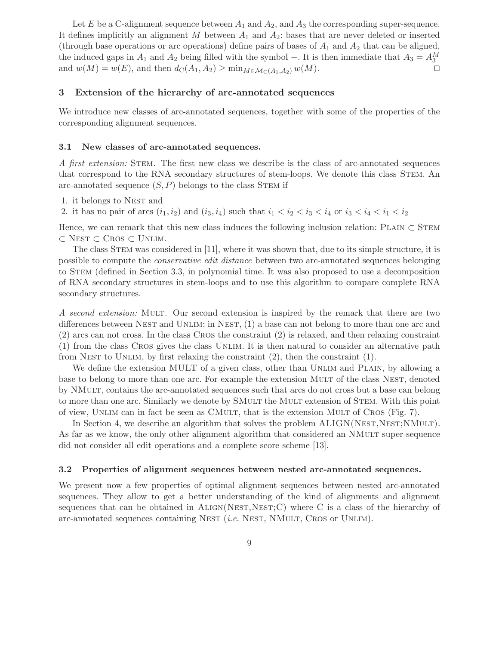Let E be a C-alignment sequence between  $A_1$  and  $A_2$ , and  $A_3$  the corresponding super-sequence. It defines implicitly an alignment  $M$  between  $A_1$  and  $A_2$ : bases that are never deleted or inserted (through base operations or arc operations) define pairs of bases of  $A_1$  and  $A_2$  that can be aligned, the induced gaps in  $A_1$  and  $A_2$  being filled with the symbol –. It is then immediate that  $A_3 = A_3^M$ and  $w(M) = w(E)$ , and then  $d_{\mathcal{C}}(A_1, A_2) \geq \min_{M \in \mathcal{M}_{\mathcal{C}}(A_1, A_2)} w(M)$ .

#### 3 Extension of the hierarchy of arc-annotated sequences

We introduce new classes of arc-annotated sequences, together with some of the properties of the corresponding alignment sequences.

#### 3.1 New classes of arc-annotated sequences.

A first extension: Stem. The first new class we describe is the class of arc-annotated sequences that correspond to the RNA secondary structures of stem-loops. We denote this class Stem. An arc-annotated sequence  $(S, P)$  belongs to the class STEM if

1. it belongs to Nest and

2. it has no pair of arcs  $(i_1, i_2)$  and  $(i_3, i_4)$  such that  $i_1 < i_2 < i_3 < i_4$  or  $i_3 < i_4 < i_1 < i_2$ 

Hence, we can remark that this new class induces the following inclusion relation: PLAIN  $\subset$  STEM ⊂ Nest ⊂ Cros ⊂ Unlim.

The class STEM was considered in [11], where it was shown that, due to its simple structure, it is possible to compute the conservative edit distance between two arc-annotated sequences belonging to Stem (defined in Section 3.3, in polynomial time. It was also proposed to use a decomposition of RNA secondary structures in stem-loops and to use this algorithm to compare complete RNA secondary structures.

A second extension: Mult. Our second extension is inspired by the remark that there are two differences between NEST and UNLIM: in NEST,  $(1)$  a base can not belong to more than one arc and (2) arcs can not cross. In the class Cros the constraint (2) is relaxed, and then relaxing constraint (1) from the class Cros gives the class Unlim. It is then natural to consider an alternative path from NEST to UNLIM, by first relaxing the constraint  $(2)$ , then the constraint  $(1)$ .

We define the extension MULT of a given class, other than UNLIM and PLAIN, by allowing a base to belong to more than one arc. For example the extension MULT of the class NEST, denoted by NMult, contains the arc-annotated sequences such that arcs do not cross but a base can belong to more than one arc. Similarly we denote by SMULT the MULT extension of STEM. With this point of view, Unlim can in fact be seen as CMult, that is the extension Mult of Cros (Fig. 7).

In Section 4, we describe an algorithm that solves the problem  $ALIGN(NEST, NEST; NMULT)$ . As far as we know, the only other alignment algorithm that considered an NMULT super-sequence did not consider all edit operations and a complete score scheme [13].

#### 3.2 Properties of alignment sequences between nested arc-annotated sequences.

We present now a few properties of optimal alignment sequences between nested arc-annotated sequences. They allow to get a better understanding of the kind of alignments and alignment sequences that can be obtained in  $ALIGN(NEST,NET;C)$  where C is a class of the hierarchy of arc-annotated sequences containing NEST (*i.e.* NEST, NMULT, CROS or UNLIM).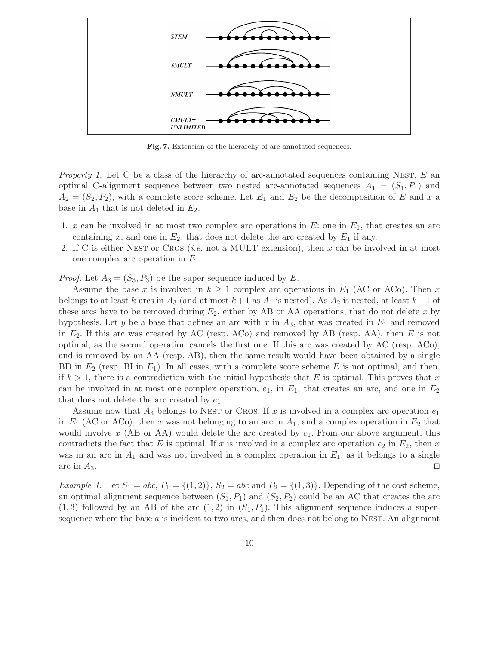

Fig. 7. Extension of the hierarchy of arc-annotated sequences.

*Property 1.* Let C be a class of the hierarchy of arc-annotated sequences containing NEST,  $E$  an optimal C-alignment sequence between two nested arc-annotated sequences  $A_1 = (S_1, P_1)$  and  $A_2 = (S_2, P_2)$ , with a complete score scheme. Let  $E_1$  and  $E_2$  be the decomposition of E and x a base in  $A_1$  that is not deleted in  $E_2$ .

- 1. x can be involved in at most two complex arc operations in  $E$ : one in  $E_1$ , that creates an arc containing x, and one in  $E_2$ , that does not delete the arc created by  $E_1$  if any.
- 2. If C is either NEST or CROS (*i.e.* not a MULT extension), then  $x$  can be involved in at most one complex arc operation in E.

*Proof.* Let  $A_3 = (S_3, P_3)$  be the super-sequence induced by E.

Assume the base x is involved in  $k \geq 1$  complex arc operations in  $E_1$  (AC or ACo). Then x belongs to at least k arcs in  $A_3$  (and at most  $k+1$  as  $A_1$  is nested). As  $A_2$  is nested, at least  $k-1$  of these arcs have to be removed during  $E_2$ , either by AB or AA operations, that do not delete x by hypothesis. Let y be a base that defines an arc with x in  $A_3$ , that was created in  $E_1$  and removed in  $E_2$ . If this arc was created by AC (resp. ACo) and removed by AB (resp. AA), then E is not optimal, as the second operation cancels the first one. If this arc was created by AC (resp. ACo), and is removed by an AA (resp. AB), then the same result would have been obtained by a single BD in  $E_2$  (resp. BI in  $E_1$ ). In all cases, with a complete score scheme E is not optimal, and then, if  $k > 1$ , there is a contradiction with the initial hypothesis that E is optimal. This proves that x can be involved in at most one complex operation,  $e_1$ , in  $E_1$ , that creates an arc, and one in  $E_2$ that does not delete the arc created by  $e_1$ .

Assume now that  $A_3$  belongs to NEST or CROS. If x is involved in a complex arc operation  $e_1$ in  $E_1$  (AC or ACo), then x was not belonging to an arc in  $A_1$ , and a complex operation in  $E_2$  that would involve x (AB or AA) would delete the arc created by  $e_1$ . From our above argument, this contradicts the fact that E is optimal. If x is involved in a complex arc operation  $e_2$  in  $E_2$ , then x was in an arc in  $A_1$  and was not involved in a complex operation in  $E_1$ , as it belongs to a single arc in  $A_3$ .

*Example 1.* Let  $S_1 = abc, P_1 = \{(1, 2)\}, S_2 = abc$  and  $P_2 = \{(1, 3)\}.$  Depending of the cost scheme, an optimal alignment sequence between  $(S_1, P_1)$  and  $(S_2, P_2)$  could be an AC that creates the arc  $(1, 3)$  followed by an AB of the arc  $(1, 2)$  in  $(S_1, P_1)$ . This alignment sequence induces a supersequence where the base  $a$  is incident to two arcs, and then does not belong to NEST. An alignment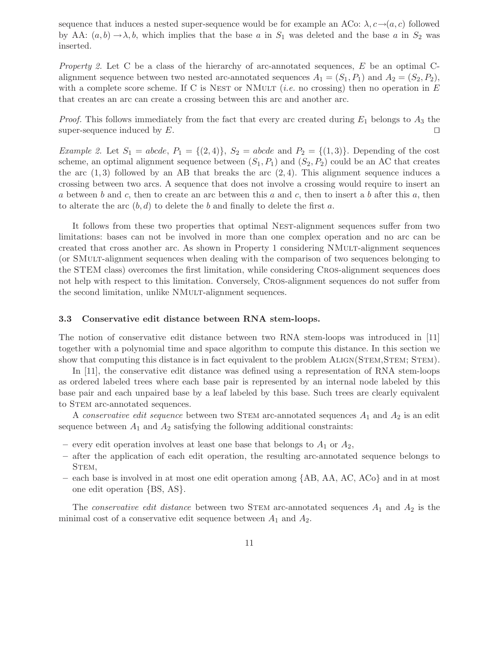sequence that induces a nested super-sequence would be for example an ACo:  $\lambda$ ,  $c \rightarrow (a, c)$  followed by AA:  $(a, b) \rightarrow \lambda, b$ , which implies that the base a in  $S_1$  was deleted and the base a in  $S_2$  was inserted.

Property 2. Let C be a class of the hierarchy of arc-annotated sequences, E be an optimal Calignment sequence between two nested arc-annotated sequences  $A_1 = (S_1, P_1)$  and  $A_2 = (S_2, P_2)$ , with a complete score scheme. If C is NEST or NMULT (*i.e.* no crossing) then no operation in E that creates an arc can create a crossing between this arc and another arc.

*Proof.* This follows immediately from the fact that every arc created during  $E_1$  belongs to  $A_3$  the super-sequence induced by  $E$ .

*Example 2.* Let  $S_1 = abcde, P_1 = \{(2, 4)\}, S_2 = abcde$  and  $P_2 = \{(1, 3)\}.$  Depending of the cost scheme, an optimal alignment sequence between  $(S_1, P_1)$  and  $(S_2, P_2)$  could be an AC that creates the arc  $(1,3)$  followed by an AB that breaks the arc  $(2,4)$ . This alignment sequence induces a crossing between two arcs. A sequence that does not involve a crossing would require to insert an a between b and c, then to create an arc between this a and c, then to insert a b after this a, then to alterate the arc  $(b, d)$  to delete the b and finally to delete the first a.

It follows from these two properties that optimal NEST-alignment sequences suffer from two limitations: bases can not be involved in more than one complex operation and no arc can be created that cross another arc. As shown in Property 1 considering NMult-alignment sequences (or SMult-alignment sequences when dealing with the comparison of two sequences belonging to the STEM class) overcomes the first limitation, while considering Cros-alignment sequences does not help with respect to this limitation. Conversely, Cros-alignment sequences do not suffer from the second limitation, unlike NMULT-alignment sequences.

#### 3.3 Conservative edit distance between RNA stem-loops.

The notion of conservative edit distance between two RNA stem-loops was introduced in [11] together with a polynomial time and space algorithm to compute this distance. In this section we show that computing this distance is in fact equivalent to the problem ALIGN(STEM, STEM; STEM).

In [11], the conservative edit distance was defined using a representation of RNA stem-loops as ordered labeled trees where each base pair is represented by an internal node labeled by this base pair and each unpaired base by a leaf labeled by this base. Such trees are clearly equivalent to STEM arc-annotated sequences.

A conservative edit sequence between two STEM arc-annotated sequences  $A_1$  and  $A_2$  is an edit sequence between  $A_1$  and  $A_2$  satisfying the following additional constraints:

- every edit operation involves at least one base that belongs to  $A_1$  or  $A_2$ ,
- after the application of each edit operation, the resulting arc-annotated sequence belongs to STEM,
- each base is involved in at most one edit operation among {AB, AA, AC, ACo} and in at most one edit operation {BS, AS}.

The *conservative edit distance* between two STEM arc-annotated sequences  $A_1$  and  $A_2$  is the minimal cost of a conservative edit sequence between  $A_1$  and  $A_2$ .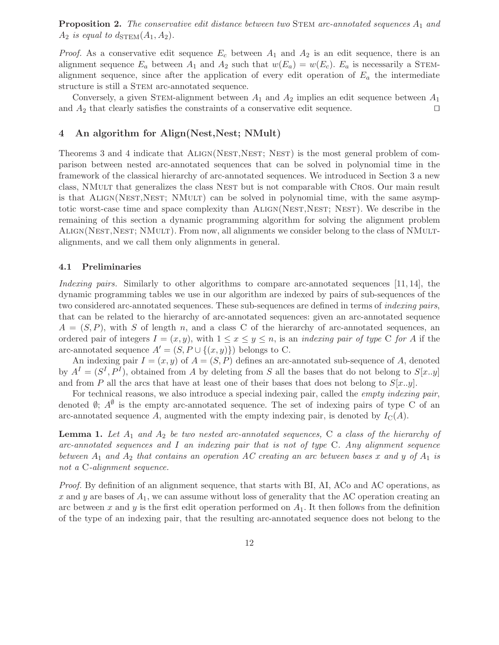**Proposition 2.** The conservative edit distance between two STEM arc-annotated sequences  $A_1$  and  $A_2$  is equal to  $d_{\text{STEM}}(A_1, A_2)$ .

*Proof.* As a conservative edit sequence  $E_c$  between  $A_1$  and  $A_2$  is an edit sequence, there is an alignment sequence  $E_a$  between  $A_1$  and  $A_2$  such that  $w(E_a) = w(E_c)$ .  $E_a$  is necessarily a STEMalignment sequence, since after the application of every edit operation of  $E_a$  the intermediate structure is still a STEM arc-annotated sequence.

Conversely, a given STEM-alignment between  $A_1$  and  $A_2$  implies an edit sequence between  $A_1$ and  $A_2$  that clearly satisfies the constraints of a conservative edit sequence.  $\Box$ 

## 4 An algorithm for Align(Nest,Nest; NMult)

Theorems 3 and 4 indicate that ALIGN(NEST,NEST; NEST) is the most general problem of comparison between nested arc-annotated sequences that can be solved in polynomial time in the framework of the classical hierarchy of arc-annotated sequences. We introduced in Section 3 a new class, NMult that generalizes the class Nest but is not comparable with Cros. Our main result is that ALIGN(NEST, NEST; NMULT) can be solved in polynomial time, with the same asymptotic worst-case time and space complexity than ALIGN(NEST, NEST; NEST). We describe in the remaining of this section a dynamic programming algorithm for solving the alignment problem ALIGN(NEST, NEST; NMULT). From now, all alignments we consider belong to the class of NMULTalignments, and we call them only alignments in general.

#### 4.1 Preliminaries

Indexing pairs. Similarly to other algorithms to compare arc-annotated sequences [11, 14], the dynamic programming tables we use in our algorithm are indexed by pairs of sub-sequences of the two considered arc-annotated sequences. These sub-sequences are defined in terms of *indexing pairs*, that can be related to the hierarchy of arc-annotated sequences: given an arc-annotated sequence  $A = (S, P)$ , with S of length n, and a class C of the hierarchy of arc-annotated sequences, an ordered pair of integers  $I = (x, y)$ , with  $1 \le x \le y \le n$ , is an *indexing pair of type* C for A if the arc-annotated sequence  $A' = (S, P \cup \{(x, y)\})$  belongs to C.

An indexing pair  $I = (x, y)$  of  $A = (S, P)$  defines an arc-annotated sub-sequence of A, denoted by  $A<sup>I</sup> = (S<sup>I</sup>, P<sup>I</sup>)$ , obtained from A by deleting from S all the bases that do not belong to  $S[x,y]$ and from P all the arcs that have at least one of their bases that does not belong to  $S[x..y]$ .

For technical reasons, we also introduce a special indexing pair, called the empty indexing pair, denoted  $\emptyset$ ;  $A^{\emptyset}$  is the empty arc-annotated sequence. The set of indexing pairs of type C of an arc-annotated sequence A, augmented with the empty indexing pair, is denoted by  $I_{\rm C}(A)$ .

**Lemma 1.** Let  $A_1$  and  $A_2$  be two nested arc-annotated sequences, C a class of the hierarchy of arc-annotated sequences and I an indexing pair that is not of type  $C$ . Any alignment sequence between  $A_1$  and  $A_2$  that contains an operation AC creating an arc between bases x and y of  $A_1$  is not a C-alignment sequence.

Proof. By definition of an alignment sequence, that starts with BI, AI, ACo and AC operations, as x and y are bases of  $A_1$ , we can assume without loss of generality that the AC operation creating an arc between x and y is the first edit operation performed on  $A_1$ . It then follows from the definition of the type of an indexing pair, that the resulting arc-annotated sequence does not belong to the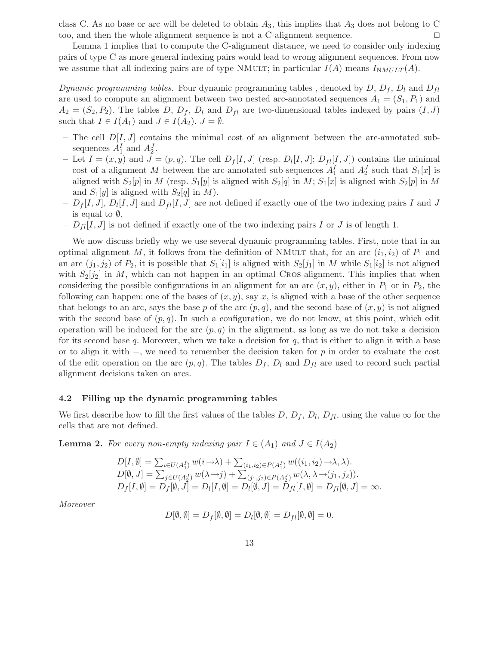class C. As no base or arc will be deleted to obtain  $A_3$ , this implies that  $A_3$  does not belong to C too, and then the whole alignment sequence is not a C-alignment sequence.  $\Box$ 

Lemma 1 implies that to compute the C-alignment distance, we need to consider only indexing pairs of type C as more general indexing pairs would lead to wrong alignment sequences. From now we assume that all indexing pairs are of type NMULT; in particular  $I(A)$  means  $I_{NMULT}(A)$ .

Dynamic programming tables. Four dynamic programming tables, denoted by D,  $D_f$ ,  $D_l$  and  $D_{fl}$ are used to compute an alignment between two nested arc-annotated sequences  $A_1 = (S_1, P_1)$  and  $A_2 = (S_2, P_2)$ . The tables D,  $D_f$ ,  $D_l$  and  $D_{fl}$  are two-dimensional tables indexed by pairs  $(I, J)$ such that  $I \in I(A_1)$  and  $J \in I(A_2)$ .  $J = \emptyset$ .

- The cell  $D[I, J]$  contains the minimal cost of an alignment between the arc-annotated subsequences  $A_1^I$  and  $A_2^J$ .
- Let  $I = (x, y)$  and  $J = (p, q)$ . The cell  $D_f[I, J]$  (resp.  $D_l[I, J]$ ;  $D_{fl}[I, J]$ ) contains the minimal cost of a alignment M between the arc-annotated sub-sequences  $A_1^I$  and  $A_2^J$  such that  $S_1[x]$  is aligned with  $S_2[p]$  in M (resp.  $S_1[y]$  is aligned with  $S_2[q]$  in M;  $S_1[x]$  is aligned with  $S_2[p]$  in M and  $S_1[y]$  is aligned with  $S_2[q]$  in M).
- $-D_f[I, J], D_l[I, J]$  and  $D_{fl}[I, J]$  are not defined if exactly one of the two indexing pairs I and J is equal to ∅.
- $-D_{fl}[I, J]$  is not defined if exactly one of the two indexing pairs I or J is of length 1.

We now discuss briefly why we use several dynamic programming tables. First, note that in an optimal alignment M, it follows from the definition of NMULT that, for an arc  $(i_1,i_2)$  of  $P_1$  and an arc  $(j_1, j_2)$  of  $P_2$ , it is possible that  $S_1[i_1]$  is aligned with  $S_2[j_1]$  in M while  $S_1[i_2]$  is not aligned with  $S_2[j_2]$  in M, which can not happen in an optimal CROS-alignment. This implies that when considering the possible configurations in an alignment for an arc  $(x, y)$ , either in  $P_1$  or in  $P_2$ , the following can happen: one of the bases of  $(x, y)$ , say x, is aligned with a base of the other sequence that belongs to an arc, says the base p of the arc  $(p, q)$ , and the second base of  $(x, y)$  is not aligned with the second base of  $(p, q)$ . In such a configuration, we do not know, at this point, which edit operation will be induced for the arc  $(p, q)$  in the alignment, as long as we do not take a decision for its second base  $q$ . Moreover, when we take a decision for  $q$ , that is either to align it with a base or to align it with  $-$ , we need to remember the decision taken for p in order to evaluate the cost of the edit operation on the arc  $(p, q)$ . The tables  $D_f$ ,  $D_l$  and  $D_{fl}$  are used to record such partial alignment decisions taken on arcs.

#### 4.2 Filling up the dynamic programming tables

We first describe how to fill the first values of the tables  $D, D_f, D_l, D_{fl}$ , using the value  $\infty$  for the cells that are not defined.

**Lemma 2.** For every non-empty indexing pair  $I \in (A_1)$  and  $J \in I(A_2)$ 

$$
D[I, \emptyset] = \sum_{i \in U(A_1^I)} w(i \to \lambda) + \sum_{(i_1, i_2) \in P(A_1^I)} w((i_1, i_2) \to \lambda, \lambda).
$$
  
\n
$$
D[\emptyset, J] = \sum_{j \in U(A_2^J)} w(\lambda \to j) + \sum_{(j_1, j_2) \in P(A_2^J)} w(\lambda, \lambda \to (j_1, j_2)).
$$
  
\n
$$
D_f[I, \emptyset] = D_f[\emptyset, J] = D_l[I, \emptyset] = D_l[\emptyset, J] = D_{fl}[I, \emptyset] = D_{fl}[\emptyset, J] = \infty.
$$

Moreover

$$
D[\emptyset, \emptyset] = D_f[\emptyset, \emptyset] = D_l[\emptyset, \emptyset] = D_{fl}[\emptyset, \emptyset] = 0.
$$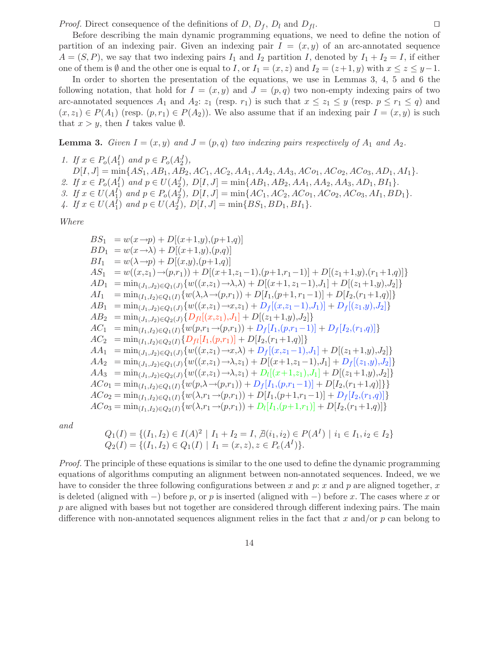*Proof.* Direct consequence of the definitions of D,  $D_f$ ,  $D_l$  and  $D_{fl}$ .

Before describing the main dynamic programming equations, we need to define the notion of partition of an indexing pair. Given an indexing pair  $I = (x, y)$  of an arc-annotated sequence  $A = (S, P)$ , we say that two indexing pairs  $I_1$  and  $I_2$  partition I, denoted by  $I_1 + I_2 = I$ , if either one of them is  $\emptyset$  and the other one is equal to I, or  $I_1 = (x, z)$  and  $I_2 = (z+1, y)$  with  $x \le z \le y-1$ .

In order to shorten the presentation of the equations, we use in Lemmas 3, 4, 5 and 6 the following notation, that hold for  $I = (x, y)$  and  $J = (p, q)$  two non-empty indexing pairs of two arc-annotated sequences  $A_1$  and  $A_2$ :  $z_1$  (resp.  $r_1$ ) is such that  $x \leq z_1 \leq y$  (resp.  $p \leq r_1 \leq q$ ) and  $(x, z_1) \in P(A_1)$  (resp.  $(p, r_1) \in P(A_2)$ ). We also assume that if an indexing pair  $I = (x, y)$  is such that  $x > y$ , then I takes value  $\emptyset$ .

**Lemma 3.** Given  $I = (x, y)$  and  $J = (p, q)$  two indexing pairs respectively of  $A_1$  and  $A_2$ .

1. If  $x \in P_o(A_1^I)$  and  $p \in P_o(A_2^J)$ ,  $D[I, J] = \min\{AS_1, AB_1, AB_2, AC_1, AC_2, AA_1, AA_2, AA_3, AC_0, AC_2, AC_3, AD_1, AI_1\}.$ 2. If  $x \in P_o(A_1^I)$  and  $p \in U(A_2^J)$ ,  $D[I, J] = \min\{AB_1, AB_2, AA_1, AA_2, AA_3, AD_1, BI_1\}.$ 3. If  $x \in U(A_1^I)$  and  $p \in P_o(A_2^J)$ ,  $D[I, J] = \min\{AC_1, AC_2, AC_0, AC_2, AC_0, AI_1, BD_1\}.$ 4. If  $x \in U(A_1^I)$  and  $p \in U(A_2^J)$ ,  $D[I, J] = \min\{BS_1, BD_1, BI_1\}.$ 

Where

$$
BS_{1} = w(x \rightarrow p) + D[(x+1,y),(p+1,q)]
$$
  
\n
$$
BD_{1} = w(x \rightarrow \lambda) + D[(x+1,y),(p,q)]
$$
  
\n
$$
BI_{1} = w(\lambda \rightarrow p) + D[(x,y),(p+1,q)]
$$
  
\n
$$
AS_{1} = w((x,z_{1}) \rightarrow (p,r_{1})) + D[(x+1,z_{1}-1),(p+1,r_{1}-1)] + D[(z_{1}+1,y),(r_{1}+1,q)]
$$
  
\n
$$
AD_{1} = \min_{(J_{1},J_{2}) \in Q_{1}(J)} \{w((x,z_{1}) \rightarrow \lambda, \lambda) + D[(x+1,z_{1}-1),J_{1}] + D[(z_{1}+1,y),J_{2}]\}
$$
  
\n
$$
AI_{1} = \min_{(I_{1},I_{2}) \in Q_{1}(I)} \{w(\lambda, \lambda \rightarrow (p,r_{1})) + D[I_{1},(p+1,r_{1}-1)] + D[I_{2},(r_{1}+1,q)]\}
$$
  
\n
$$
AB_{1} = \min_{(J_{1},J_{2}) \in Q_{1}(J)} \{w((x,z_{1}) \rightarrow x,z_{1}) + D_{f}[(x,z_{1}-1),J_{1}] + D_{f}[(z_{1},y),J_{2}]\}
$$
  
\n
$$
AB_{2} = \min_{(J_{1},J_{2}) \in Q_{2}(J)} \{D_{fl}[(x,z_{1}),J_{1}] + D[(z_{1}+1,y),J_{2}]\}
$$
  
\n
$$
AC_{1} = \min_{(I_{1},I_{2}) \in Q_{2}(I)} \{D_{fl}[I(x,z_{1}),J_{1}] + D[(z_{1}+1,y),J_{2}]\}
$$
  
\n
$$
AC_{2} = \min_{(I_{1},I_{2}) \in Q_{2}(I)} \{D_{fl}[I_{1},(p,r_{1})] + D_{f}[I_{1},(p,r_{1}-1)] + D_{f}[I_{2},(r_{1},q)]\}
$$
  
\n
$$
AA_{1} = \min_{(J_{1},J_{2}) \in Q_{1}(J)} \{w((x,z_{1}) \rightarrow x,\lambda) + D_{f}[(x,z_{1}-1),J_{1}] + D[(z_{1}+1,y),J_{2}]\}
$$
  
\n
$$
AA_{2} = \min_{(J_{1
$$

and

$$
Q_1(I) = \{(I_1, I_2) \in I(A)^2 \mid I_1 + I_2 = I, \not\exists (i_1, i_2) \in P(A^I) \mid i_1 \in I_1, i_2 \in I_2\}
$$
  

$$
Q_2(I) = \{(I_1, I_2) \in Q_1(I) \mid I_1 = (x, z), z \in P_e(A^I)\}.
$$

Proof. The principle of these equations is similar to the one used to define the dynamic programming equations of algorithms computing an alignment between non-annotated sequences. Indeed, we we have to consider the three following configurations between x and p: x and p are aligned together, x is deleted (aligned with  $-$ ) before p, or p is inserted (aligned with  $-$ ) before x. The cases where x or p are aligned with bases but not together are considered through different indexing pairs. The main difference with non-annotated sequences alignment relies in the fact that x and/or  $p$  can belong to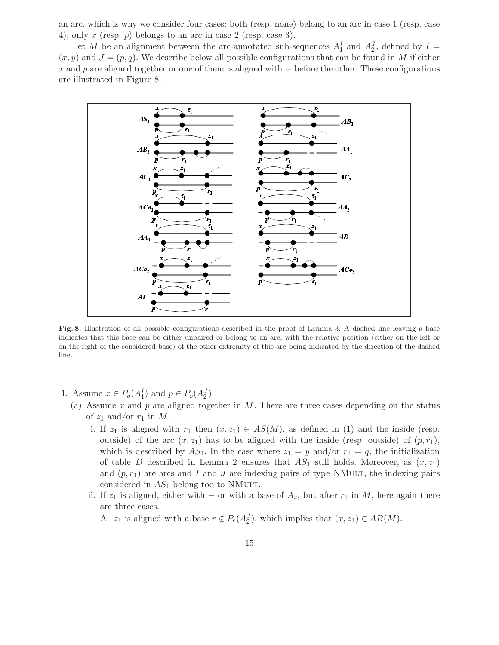an arc, which is why we consider four cases: both (resp. none) belong to an arc in case 1 (resp. case 4), only  $x$  (resp.  $p$ ) belongs to an arc in case 2 (resp. case 3).

Let M be an alignment between the arc-annotated sub-sequences  $A_1^I$  and  $A_2^J$ , defined by  $I =$  $(x, y)$  and  $J = (p, q)$ . We describe below all possible configurations that can be found in M if either x and p are aligned together or one of them is aligned with  $-$  before the other. These configurations are illustrated in Figure 8.



Fig. 8. Illustration of all possible configurations described in the proof of Lemma 3. A dashed line leaving a base indicates that this base can be either unpaired or belong to an arc, with the relative position (either on the left or on the right of the considered base) of the other extremity of this arc being indicated by the direction of the dashed line.

- 1. Assume  $x \in P_o(A_1^I)$  and  $p \in P_o(A_2^J)$ .
	- (a) Assume x and p are aligned together in M. There are three cases depending on the status of  $z_1$  and/or  $r_1$  in M.
		- i. If  $z_1$  is aligned with  $r_1$  then  $(x, z_1) \in AS(M)$ , as defined in (1) and the inside (resp. outside) of the arc  $(x, z_1)$  has to be aligned with the inside (resp. outside) of  $(p, r_1)$ , which is described by AS<sub>1</sub>. In the case where  $z_1 = y$  and/or  $r_1 = q$ , the initialization of table D described in Lemma 2 ensures that  $AS_1$  still holds. Moreover, as  $(x, z_1)$ and  $(p, r_1)$  are arcs and I and J are indexing pairs of type NMuLT, the indexing pairs considered in  $AS_1$  belong too to NMULT.
		- ii. If  $z_1$  is aligned, either with − or with a base of  $A_2$ , but after  $r_1$  in M, here again there are three cases.

A.  $z_1$  is aligned with a base  $r \notin P_e(A_2^J)$ , which implies that  $(x, z_1) \in AB(M)$ .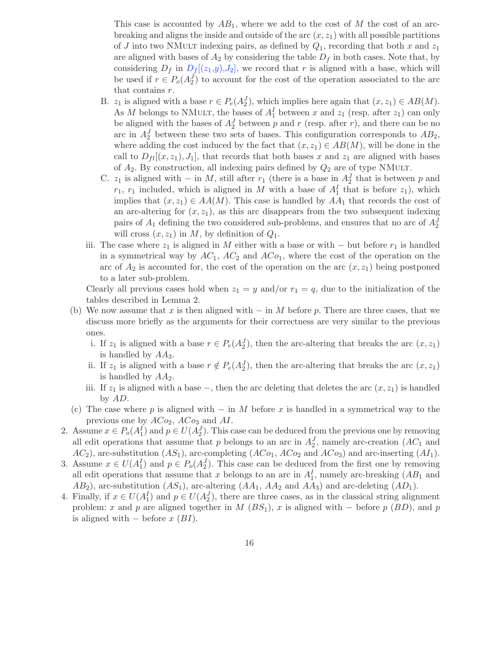This case is accounted by  $AB_1$ , where we add to the cost of M the cost of an arcbreaking and aligns the inside and outside of the arc  $(x, z<sub>1</sub>)$  with all possible partitions of J into two NMULT indexing pairs, as defined by  $Q_1$ , recording that both x and  $z_1$ are aligned with bases of  $A_2$  by considering the table  $D_f$  in both cases. Note that, by considering  $D_f$  in  $D_f[(z_1,y),J_2]$ , we record that r is aligned with a base, which will be used if  $r \in P_o(A_2^J)$  to account for the cost of the operation associated to the arc that contains r.

- B.  $z_1$  is aligned with a base  $r \in P_e(A_2^J)$ , which implies here again that  $(x, z_1) \in AB(M)$ . As M belongs to NMULT, the bases of  $A_1^I$  between x and  $z_1$  (resp. after  $z_1$ ) can only be aligned with the bases of  $A_2^J$  between p and r (resp. after r), and there can be no arc in  $A_2^J$  between these two sets of bases. This configuration corresponds to  $AB_2$ , where adding the cost induced by the fact that  $(x, z_1) \in AB(M)$ , will be done in the call to  $D_{fl}[(x, z_1), J_1]$ , that records that both bases x and  $z_1$  are aligned with bases of  $A_2$ . By construction, all indexing pairs defined by  $Q_2$  are of type NMULT.
- C.  $z_1$  is aligned with in M, still after  $r_1$  (there is a base in  $A_2^J$  that is between p and  $r_1$ ,  $r_1$  included, which is aligned in M with a base of  $A_1^I$  that is before  $z_1$ ), which implies that  $(x, z_1) \in AA(M)$ . This case is handled by  $AA_1$  that records the cost of an arc-altering for  $(x, z_1)$ , as this arc disappears from the two subsequent indexing pairs of  $A_1$  defining the two considered sub-problems, and ensures that no arc of  $A_2^J$ will cross  $(x, z_1)$  in M, by definition of  $Q_1$ .
- iii. The case where  $z_1$  is aligned in M either with a base or with but before  $r_1$  is handled in a symmetrical way by  $AC_1$ ,  $AC_2$  and  $ACo_1$ , where the cost of the operation on the arc of  $A_2$  is accounted for, the cost of the operation on the arc  $(x, z_1)$  being postponed to a later sub-problem.

Clearly all previous cases hold when  $z_1 = y$  and/or  $r_1 = q$ , due to the initialization of the tables described in Lemma 2.

- (b) We now assume that x is then aligned with  $-$  in M before p. There are three cases, that we discuss more briefly as the arguments for their correctness are very similar to the previous ones.
	- i. If  $z_1$  is aligned with a base  $r \in P_e(A_2^J)$ , then the arc-altering that breaks the arc  $(x, z_1)$ is handled by  $AA_3$ .
	- ii. If  $z_1$  is aligned with a base  $r \notin P_e(A_2^J)$ , then the arc-altering that breaks the arc  $(x, z_1)$ is handled by  $AA_2$ .
	- iii. If  $z_1$  is aligned with a base –, then the arc deleting that deletes the arc  $(x, z_1)$  is handled by AD.
- (c) The case where p is aligned with  $-$  in M before x is handled in a symmetrical way to the previous one by  $ACo_2$ ,  $ACo_3$  and  $AI$ .
- 2. Assume  $x \in P_o(A_1^I)$  and  $p \in U(A_2^J)$ . This case can be deduced from the previous one by removing all edit operations that assume that p belongs to an arc in  $A_2^J$ , namely arc-creation  $(AC_1$  and  $AC_2$ ), arc-substitution  $(AS_1)$ , arc-completing  $(AC_{01}, AC_{02}$  and  $AC_{03})$  and arc-inserting  $(AI_1)$ .
- 3. Assume  $x \in U(A_1^I)$  and  $p \in P_o(A_2^J)$ . This case can be deduced from the first one by removing all edit operations that assume that x belongs to an arc in  $A_1^I$ , namely arc-breaking  $(AB_1$  and  $AB_2$ ), arc-substitution  $(AS_1)$ , arc-altering  $(AA_1, AA_2$  and  $AA_3)$  and arc-deleting  $(AD_1)$ .
- 4. Finally, if  $x \in U(A_1^I)$  and  $p \in U(A_2^J)$ , there are three cases, as in the classical string alignment problem: x and p are aligned together in  $M(BS_1)$ , x is aligned with – before p (BD), and p is aligned with  $-$  before  $x(BI)$ .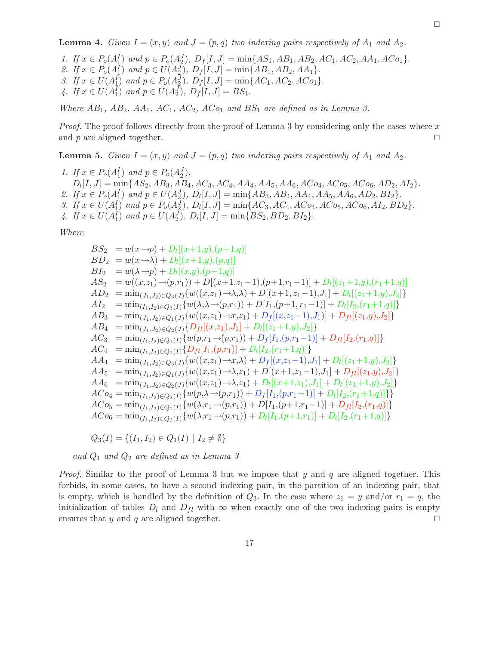**Lemma 4.** Given  $I = (x, y)$  and  $J = (p, q)$  two indexing pairs respectively of  $A_1$  and  $A_2$ .

1. If  $x \in P_o(A_1^I)$  and  $p \in P_o(A_2^J)$ ,  $D_f[I, J] = \min\{AS_1, AB_1, AB_2, AC_1, AC_2, AA_1, AC_0\}.$ 2. If  $x \in P_o(A_1^I)$  and  $p \in U(A_2^J)$ ,  $D_f[I, J] = \min\{AB_1, AB_2, AA_1\}.$ 3. If  $x \in U(A_1^I)$  and  $p \in P_o(A_2^J)$ ,  $D_f[I, J] = \min\{AC_1, AC_2, AC_0\}.$ 4. If  $x \in U(A_1^I)$  and  $p \in U(A_2^J)$ ,  $D_f[I, J] = BS_1$ .

Where  $AB_1$ ,  $AB_2$ ,  $AA_1$ ,  $AC_1$ ,  $AC_2$ ,  $ACo_1$  and  $BS_1$  are defined as in Lemma 3.

*Proof.* The proof follows directly from the proof of Lemma 3 by considering only the cases where x and p are aligned together.  $\Box$ 

**Lemma 5.** Given  $I = (x, y)$  and  $J = (p, q)$  two indexing pairs respectively of  $A_1$  and  $A_2$ .

1. If  $x \in P_o(A_1^I)$  and  $p \in P_o(A_2^J)$ ,  $D_l[I, J] = \min\{AS_2, AB_3, AB_4, AC_3, AC_4, AA_4, AA_5, AA_6, AC_4, AC_5, AC_6, AD_2, AD_2\}.$ 2. If  $x \in P_o(A_1^I)$  and  $p \in U(A_2^J)$ ,  $D_l[I, J] = \min\{AB_3, AB_4, AA_4, AA_5, AA_6, AD_2, BI_2\}.$ 3. If  $x \in U(A_1^I)$  and  $p \in P_o(A_2^J)$ ,  $D_l[I, J] = \min\{AC_3, AC_4, AC_{04}, AC_{05}, AC_{06}, AI_2, BD_2\}.$ 4. If  $x \in U(A_1^I)$  and  $p \in U(A_2^J)$ ,  $D_l[I, J] = \min\{BS_2, BD_2, BI_2\}.$ 

Where

 $BS_2 = w(x \rightarrow p) + D_l[(x+1,y),(p+1,q)]$  $BD_2 = w(x \rightarrow \lambda) + D_l[(x+1,y),(p,q)]$  $BI_2 = w(\lambda \rightarrow p) + D_l[(x,y),(p+1,q)]$  $AS_2 = w((x,z_1) \rightarrow (p,r_1)) + D[(x+1,z_1-1),(p+1,r_1-1)] + D[(z_1+1,y),(r_1+1,q)]$  $AD_2 = \min_{(J_1,J_2) \in Q_3(J)} \{ w((x,z_1) \rightarrow \lambda, \lambda) + D[(x+1,z_1-1),J_1] + D_l[(z_1+1,y),J_2] \}$  $AI_2 = \min_{(I_1,I_2)\in Q_3(I)} \{w(\lambda,\lambda\rightarrow(p,r_1)) + D[I_1,(p+1,r_1-1)] + D_I[I_2,(r_1+1,q)]\}$  $AB_3 = \min_{(J_1,J_2)\in Q_1(J)} \{w((x,z_1)\rightarrow x,z_1) + D_f[(x,z_1-1),J_1)] + D_{fl}[(z_1,y),J_2]\}$  $AB_4 = \min_{(J_1, J_2) \in Q_2(J)} \{D_{fl}[(x, z_1), J_1] + D_l[(z_1 + 1, y), J_2]\}$  $AC_3 = \min_{(I_1,I_2)\in Q_1(I)} \{w(p,r_1\rightarrow(p,r_1)) + D_f[I_1,(p,r_1-1)] + D_f[I_2,(r_1,q)]\}$  $AC_4 = \min_{(I_1,I_2)\in Q_2(I)}\{D_{fl}[I_1,(p,r_1)] + D_l[I_2,(r_1+1,q)]\}$  $AA_4 = \min_{(J_1,J_2) \in Q_3(J)} \{ w((x,z_1) \rightarrow x, \lambda) + D_f[(x,z_1-1),J_1] + D_l[(z_1+1,y),J_2] \}$  $AA_5 = \min_{(J_1,J_2)\in Q_1(J)}\{w((x,z_1)\rightarrow\lambda,z_1)+D[(x+1,z_1-1),J_1]+D_{fl}[(z_1,y),J_2]\}$  $AA_6$  = min<sub>(J<sub>1</sub>,J<sub>2</sub>)∈Q<sub>2</sub>(J)</sub>{ $w((x,z_1) \rightarrow \lambda, z_1) + D_l[(x+1,z_1), J_1] + D_l[(z_1+1,y), J_2]$ }  $ACo_4 = min_{(I_1,I_2) \in Q_3(I)} \{w(p,\lambda \rightarrow (p,r_1)) + D_f[I_1,(p,r_1-1)] + D_l[I_2,(r_1+1,q)]\}\}$  $ACo_5 = min_{(I_1,I_2) \in Q_1(I)} \{w(\lambda,r_1 \rightarrow (p,r_1)) + D[I_1,(p+1,r_1-1)] + D_{fl}[I_2,(r_1,q)]\}$  $ACo_6 = \min_{(I_1,I_2) \in Q_2(I)} \{w(\lambda,r_1 \rightarrow (p,r_1)) + D_l[I_1,(p+1,r_1)] + D_l[I_2,(r_1+1,q)]\}$ 

$$
Q_3(I) = \{(I_1, I_2) \in Q_1(I) \mid I_2 \neq \emptyset\}
$$

and  $Q_1$  and  $Q_2$  are defined as in Lemma 3

*Proof.* Similar to the proof of Lemma 3 but we impose that y and q are aligned together. This forbids, in some cases, to have a second indexing pair, in the partition of an indexing pair, that is empty, which is handled by the definition of  $Q_3$ . In the case where  $z_1 = y$  and/or  $r_1 = q$ , the initialization of tables  $D_l$  and  $D_{fl}$  with  $\infty$  when exactly one of the two indexing pairs is empty ensures that  $y$  and  $q$  are aligned together. ensures that  $y$  and  $q$  are aligned together.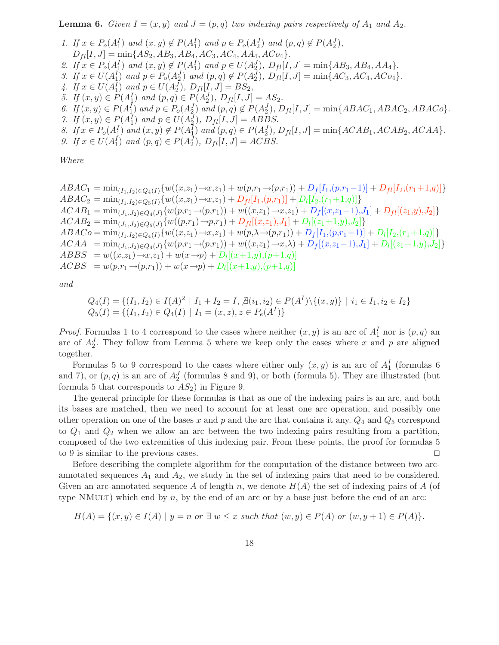**Lemma 6.** Given  $I = (x, y)$  and  $J = (p, q)$  two indexing pairs respectively of  $A_1$  and  $A_2$ .

- 1. If  $x \in P_o(A_1^I)$  and  $(x, y) \notin P(A_1^I)$  and  $p \in P_o(A_2^J)$  and  $(p, q) \notin P(A_2^J)$ ,  $D_{fl}[I, J] = \min\{AS_2, AB_3, AB_4, AC_3, AC_4, AA_4, AC_9\}.$ 2. If  $x \in P_o(A_1^I)$  and  $(x, y) \notin P(A_1^I)$  and  $p \in U(A_2^J)$ ,  $D_{fl}[I, J] = \min\{AB_3, AB_4, AA_4\}.$ 3. If  $x \in U(A_1^I)$  and  $p \in P_o(A_2^J)$  and  $(p,q) \notin P(A_2^J)$ ,  $D_{fl}[I, J] = \min\{AC_3, AC_4, AC_9\}$ . 4. If  $x \in U(A_1^I)$  and  $p \in U(A_2^J)$ ,  $D_{fl}[I, J] = BS_2$ , 5. If  $(x, y) \in P(A_1^I)$  and  $(p, q) \in P(A_2^J)$ ,  $D_{fl}[I, J] = AS_2$ . 6. If  $(x, y) \in P(A_1^I)$  and  $p \in P_o(A_2^J)$  and  $(p, q) \notin P(A_2^J)$ ,  $D_{fl}[I, J] = \min\{ABAC_1, ABAC_2, ABAC_0\}$ . 7. If  $(x, y) \in P(A_1^I)$  and  $p \in U(A_2^J)$ ,  $D_{fl}[I, J] = ABBS$ . 8. If  $x \in P_o(A_1^I)$  and  $(x, y) \notin P(A_1^I)$  and  $(p, q) \in P(A_2^J)$ ,  $D_{fl}[I, J] = \min\{ACAB_1, ACAB_2, ACAA\}.$
- 9. If  $x \in U(A_1^I)$  and  $(p, q) \in P(A_2^J)$ ,  $D_{fl}[I, J] = ACBS$ .

Where

 $ABAC_1 = \min_{(I_1, I_2) \in Q_4(I)} \{ w((x, z_1) \rightarrow x, z_1) + w(p, r_1 \rightarrow (p, r_1)) + D_f[I_1, (p, r_1-1)] + D_{fl}[I_2, (r_1+1, q)] \}$  $ABAC_2 = \min_{(I_1,I_2) \in Q_5(I)} \{w((x,z_1) \rightarrow x,z_1) + D_{fl}[I_1,(p,r_1)] + D_l[I_2,(r_1+1,q)]\}$  $ACAB_1 = min_{(J_1,J_2) \in Q_4(J)} \{w(p,r_1 \rightarrow (p,r_1)) + w((x,z_1) \rightarrow x,z_1) + D_f[(x,z_1-1),J_1] + D_{fl}[(z_1,y),J_2]\}$  $ACAB_2 = min_{(J_1,J_2) \in Q_5(J)} \{w((p,r_1) \rightarrow p,r_1) + D_{fl}[(x,z_1),J_1] + D_l[(z_1+1,y),J_2]\}$  $ABACo = \min_{(I_1,I_2) \in Q_4(I)} \{ w((x,z_1) \rightarrow x,z_1) + w(p,\lambda \rightarrow (p,r_1)) + D_f[I_1,(p,r_1-1)] + D_l[I_2,(r_1+1,q)] \}$  $ACAA = min_{(J_1,J_2) \in Q_4(J)} \{w(p,r_1 \rightarrow (p,r_1)) + w((x,z_1) \rightarrow x,\lambda) + D_f[(x,z_1-1),J_1] + D_l[(z_1+1,y),J_2]\}$  $ABBS = w((x,z_1) \rightarrow x,z_1) + w(x \rightarrow p) + D_l[(x+1,y),(p+1,q)]$  $ACBS = w(p,r_1 \rightarrow (p,r_1)) + w(x \rightarrow p) + D_l[(x+1,y),(p+1,q)]$ 

and

$$
Q_4(I) = \{(I_1, I_2) \in I(A)^2 \mid I_1 + I_2 = I, \nexists (i_1, i_2) \in P(A^I) \setminus \{(x, y)\} \mid i_1 \in I_1, i_2 \in I_2\}
$$
\n
$$
Q_5(I) = \{(I_1, I_2) \in Q_4(I) \mid I_1 = (x, z), z \in P_e(A^I)\}
$$

*Proof.* Formulas 1 to 4 correspond to the cases where neither  $(x, y)$  is an arc of  $A_1^I$  nor is  $(p, q)$  an arc of  $A_2^J$ . They follow from Lemma 5 where we keep only the cases where x and p are aligned together.

Formulas 5 to 9 correspond to the cases where either only  $(x, y)$  is an arc of  $A_1^I$  (formulas 6) and 7), or  $(p, q)$  is an arc of  $A_2^J$  (formulas 8 and 9), or both (formula 5). They are illustrated (but formula 5 that corresponds to  $AS_2$ ) in Figure 9.

The general principle for these formulas is that as one of the indexing pairs is an arc, and both its bases are matched, then we need to account for at least one arc operation, and possibly one other operation on one of the bases x and p and the arc that contains it any.  $Q_4$  and  $Q_5$  correspond to  $Q_1$  and  $Q_2$  when we allow an arc between the two indexing pairs resulting from a partition, composed of the two extremities of this indexing pair. From these points, the proof for formulas 5 to 9 is similar to the previous cases.  $\Box$ 

Before describing the complete algorithm for the computation of the distance between two arcannotated sequences  $A_1$  and  $A_2$ , we study in the set of indexing pairs that need to be considered. Given an arc-annotated sequence A of length n, we denote  $H(A)$  the set of indexing pairs of A (of type NMULT) which end by  $n$ , by the end of an arc or by a base just before the end of an arc:

$$
H(A) = \{(x, y) \in I(A) \mid y = n \text{ or } \exists w \le x \text{ such that } (w, y) \in P(A) \text{ or } (w, y + 1) \in P(A) \}.
$$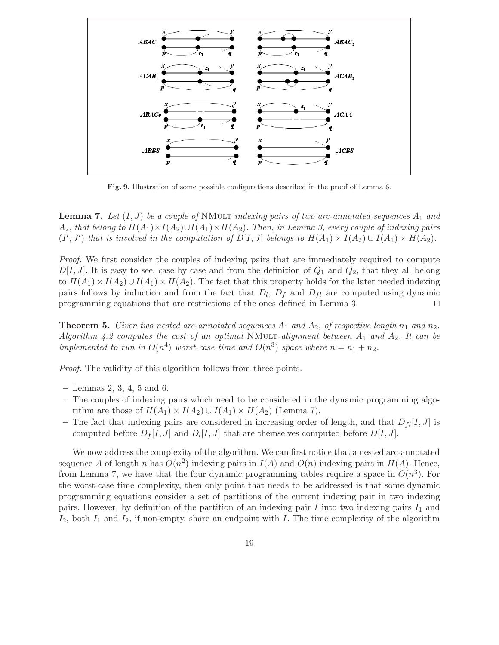

Fig. 9. Illustration of some possible configurations described in the proof of Lemma 6.

**Lemma 7.** Let  $(I, J)$  be a couple of NMULT indexing pairs of two arc-annotated sequences  $A_1$  and  $A_2$ , that belong to  $H(A_1) \times I(A_2) \cup I(A_1) \times H(A_2)$ . Then, in Lemma 3, every couple of indexing pairs  $(I', J')$  that is involved in the computation of  $D[I, J]$  belongs to  $H(A_1) \times I(A_2) \cup I(A_1) \times H(A_2)$ .

Proof. We first consider the couples of indexing pairs that are immediately required to compute  $D[I, J]$ . It is easy to see, case by case and from the definition of  $Q_1$  and  $Q_2$ , that they all belong to  $H(A_1) \times I(A_2) \cup I(A_1) \times H(A_2)$ . The fact that this property holds for the later needed indexing pairs follows by induction and from the fact that  $D_l$ ,  $D_f$  and  $D_{fl}$  are computed using dynamic programming equations that are restrictions of the ones defined in Lemma 3.  $\Box$ 

**Theorem 5.** Given two nested arc-annotated sequences  $A_1$  and  $A_2$ , of respective length  $n_1$  and  $n_2$ , Algorithm 4.2 computes the cost of an optimal NMULT-alignment between  $A_1$  and  $A_2$ . It can be implemented to run in  $O(n^4)$  worst-case time and  $O(n^3)$  space where  $n = n_1 + n_2$ .

Proof. The validity of this algorithm follows from three points.

- Lemmas 2, 3, 4, 5 and 6.
- The couples of indexing pairs which need to be considered in the dynamic programming algorithm are those of  $H(A_1) \times I(A_2) \cup I(A_1) \times H(A_2)$  (Lemma 7).
- The fact that indexing pairs are considered in increasing order of length, and that  $D_{fl}[I, J]$  is computed before  $D_f[I, J]$  and  $D_l[I, J]$  that are themselves computed before  $D[I, J]$ .

We now address the complexity of the algorithm. We can first notice that a nested arc-annotated sequence A of length n has  $O(n^2)$  indexing pairs in  $I(A)$  and  $O(n)$  indexing pairs in  $H(A)$ . Hence, from Lemma 7, we have that the four dynamic programming tables require a space in  $O(n^3)$ . For the worst-case time complexity, then only point that needs to be addressed is that some dynamic programming equations consider a set of partitions of the current indexing pair in two indexing pairs. However, by definition of the partition of an indexing pair I into two indexing pairs  $I_1$  and  $I_2$ , both  $I_1$  and  $I_2$ , if non-empty, share an endpoint with I. The time complexity of the algorithm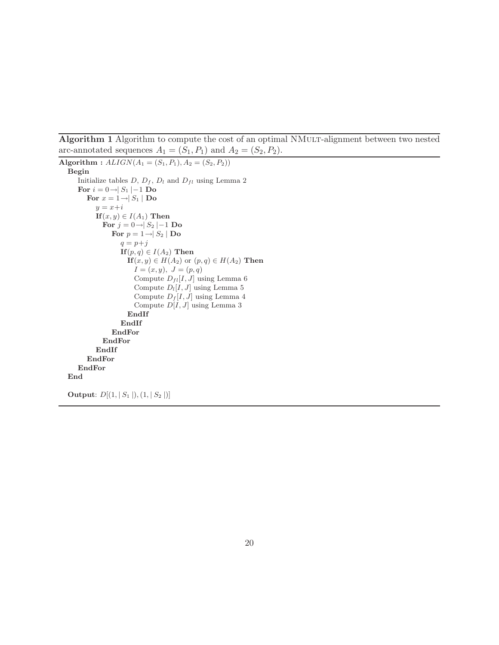Algorithm 1 Algorithm to compute the cost of an optimal NMult-alignment between two nested arc-annotated sequences  $A_1 = (S_1, P_1)$  and  $A_2 = (S_2, P_2)$ .

```
Algorithm : ALIGN(A_1 = (S_1, P_1), A_2 = (S_2, P_2))Begin
   Initialize tables D, D_f, D_l and D_{fl} using Lemma 2
   For i = 0 \rightarrow |S_1| - 1 Do
      For x = 1 \rightarrow |S_1| Do
         y = x+iIf (x, y) \in I(A_1) Then
           For j = 0 \rightarrow S_2 \mid -1 Do
              For p = 1 \rightarrow S_2 | Do
                 q = p+jIf (p, q) \in I(A_2) Then
                   If (x, y) \in H(A_2) or (p, q) \in H(A_2) Then
                     I = (x, y), J = (p, q)Compute D_{fl}[I, J] using Lemma 6
                     Compute D_l[I,J] using Lemma 5Compute D_f[I, J] using Lemma 4
                     Compute D[I, J] using Lemma 3
                   EndIf
                 EndIf
              EndFor
           EndFor
         EndIf
      EndFor
   EndFor
End
Output: D[(1, |S_1|), (1, |S_2|)]
```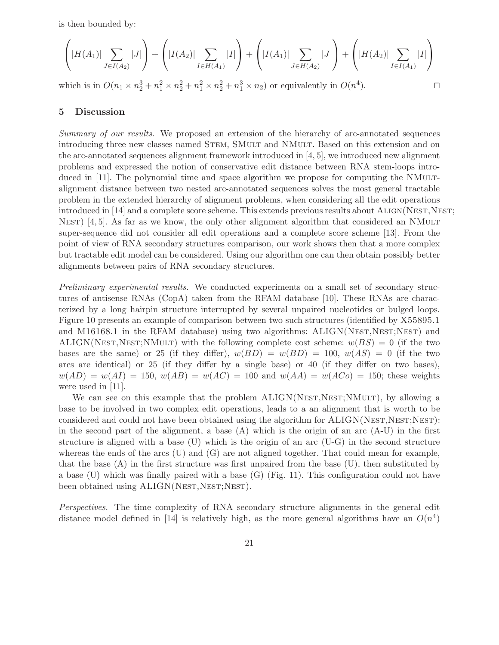is then bounded by:

$$
\left(|H(A_1)| \sum_{J \in I(A_2)} |J|\right) + \left(|I(A_2)| \sum_{I \in H(A_1)} |I|\right) + \left(|I(A_1)| \sum_{J \in H(A_2)} |J|\right) + \left(|H(A_2)| \sum_{I \in I(A_1)} |I|\right)
$$

which is in  $O(n_1 \times n_2^3 + n_1^2 \times n_2^2 + n_1^2 \times n_2^2 + n_1^3 \times n_2)$  or equivalently in  $O(n^4)$ .

#### 5 Discussion

Summary of our results. We proposed an extension of the hierarchy of arc-annotated sequences introducing three new classes named STEM, SMULT and NMULT. Based on this extension and on the arc-annotated sequences alignment framework introduced in [4, 5], we introduced new alignment problems and expressed the notion of conservative edit distance between RNA stem-loops introduced in [11]. The polynomial time and space algorithm we propose for computing the NMuLTalignment distance between two nested arc-annotated sequences solves the most general tractable problem in the extended hierarchy of alignment problems, when considering all the edit operations introduced in [14] and a complete score scheme. This extends previous results about ALIGN(NEST,NEST; NEST)  $[4, 5]$ . As far as we know, the only other alignment algorithm that considered an NMULT super-sequence did not consider all edit operations and a complete score scheme [13]. From the point of view of RNA secondary structures comparison, our work shows then that a more complex but tractable edit model can be considered. Using our algorithm one can then obtain possibly better alignments between pairs of RNA secondary structures.

Preliminary experimental results. We conducted experiments on a small set of secondary structures of antisense RNAs (CopA) taken from the RFAM database [10]. These RNAs are characterized by a long hairpin structure interrupted by several unpaired nucleotides or bulged loops. Figure 10 presents an example of comparison between two such structures (identified by X55895.1 and M16168.1 in the RFAM database) using two algorithms:  $ALIGN(NEST, NEST; NEST)$  and ALIGN(NEST,NEST;NMULT) with the following complete cost scheme:  $w(BS) = 0$  (if the two bases are the same) or 25 (if they differ),  $w(BD) = w(BD) = 100$ ,  $w(AS) = 0$  (if the two arcs are identical) or 25 (if they differ by a single base) or 40 (if they differ on two bases),  $w(AD) = w(AI) = 150, w(AB) = w(AC) = 100$  and  $w(AA) = w(AC) = 150$ ; these weights were used in [11].

We can see on this example that the problem  $ALIGN(NEST, NEST; NMULT)$ , by allowing a base to be involved in two complex edit operations, leads to a an alignment that is worth to be considered and could not have been obtained using the algorithm for  $ALIGN(NEST, NEST; NEST)$ : in the second part of the alignment, a base  $(A)$  which is the origin of an arc  $(A-U)$  in the first structure is aligned with a base  $(U)$  which is the origin of an arc  $(U-G)$  in the second structure whereas the ends of the arcs  $(U)$  and  $(G)$  are not aligned together. That could mean for example, that the base (A) in the first structure was first unpaired from the base (U), then substituted by a base (U) which was finally paired with a base (G) (Fig. 11). This configuration could not have been obtained using ALIGN(NEST, NEST; NEST).

Perspectives. The time complexity of RNA secondary structure alignments in the general edit distance model defined in [14] is relatively high, as the more general algorithms have an  $O(n^4)$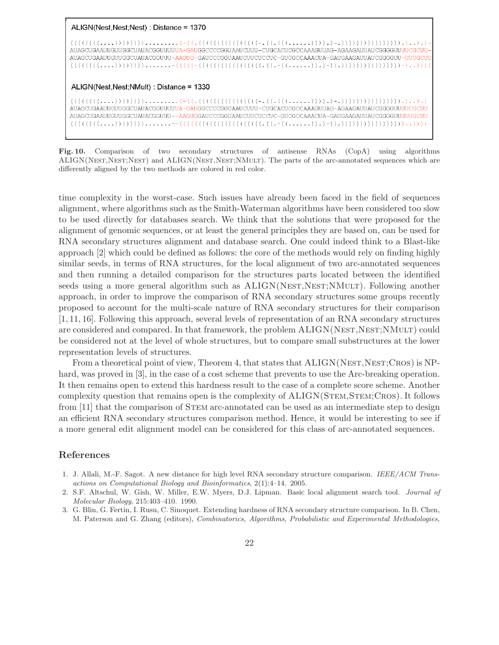#### ALIGN(Nest, Nest; Nest) : Distance = 1370

 $((((((((\ldots.)))))))))$ ......... $(-(('.((((((((((((\ldots).))))))'.)-.)))))))))))))))$ AUAGCUGAAUUGUUGCAAUUGUUGCAAACUUUUA-GAUGGCCCCGGUAAUCUUU-CUGCACUCGCAAAGUUAG-AGAAGAUUAUCGGGUUUUCGCUU-CUGCACUCGCAA AUAGCUGAAUUGUUGGCUAUACGGUUU-AAGUG-GAUCCCGGUAAUCUUCUCCUC-GUCGCCAAACUA-GAUGAAGAUUAUCGGGGUU-UUUGCUU  $((((((((\dots)))))))))\dots\dots=((((((((((((((((((((((((((((((((...,((...,))))))))))))))))))))))))))))))))))))$ 

#### ALIGN(Nest, Nest; NMult) : Distance = 1330

AUAGCUGAAUUGUUGGCUAUACGGUUUUUA-GAUGGCCCCGGUAAUCUUU-CUGCACUCGCCAAAGUUAG-AGAAGAUUAUCGGGGUUUUCGCUU AUAGCUGAAUUGUUGGCUAUACGGUUU--AAGUGGAUCCCGGUAAUCUUCUCCUC-GUCGCCAAACUA-GAUGAAGAUUAUCGGGGUUUUUGCUU 

Fig. 10. Comparison of two secondary structures of antisense RNAs (CopA) using algorithms ALIGN(NEST,NEST;NEST) and ALIGN(NEST,NEST;NMULT). The parts of the arc-annotated sequences which are differently aligned by the two methods are colored in red color.

time complexity in the worst-case. Such issues have already been faced in the field of sequences alignment, where algorithms such as the Smith-Waterman algorithms have been considered too slow to be used directly for databases search. We think that the solutions that were proposed for the alignment of genomic sequences, or at least the general principles they are based on, can be used for RNA secondary structures alignment and database search. One could indeed think to a Blast-like approach [2] which could be defined as follows: the core of the methods would rely on finding highly similar seeds, in terms of RNA structures, for the local alignment of two arc-annotated sequences and then running a detailed comparison for the structures parts located between the identified seeds using a more general algorithm such as ALIGN(NEST,NEST;NMULT). Following another approach, in order to improve the comparison of RNA secondary structures some groups recently proposed to account for the multi-scale nature of RNA secondary structures for their comparison [1, 11, 16]. Following this approach, several levels of representation of an RNA secondary structures are considered and compared. In that framework, the problem  $ALIGN(NEST, NEST; NMULT)$  could be considered not at the level of whole structures, but to compare small substructures at the lower representation levels of structures.

From a theoretical point of view, Theorem 4, that states that  $ALIGN(NEST,NET;CROS)$  is NPhard, was proved in [3], in the case of a cost scheme that prevents to use the Arc-breaking operation. It then remains open to extend this hardness result to the case of a complete score scheme. Another complexity question that remains open is the complexity of ALIGN(STEM, STEM; CROS). It follows from [11] that the comparison of STEM arc-annotated can be used as an intermediate step to design an efficient RNA secondary structures comparison method. Hence, it would be interesting to see if a more general edit alignment model can be considered for this class of arc-annotated sequences.

#### References

- 1. J. Allali, M.-F. Sagot. A new distance for high level RNA secondary structure comparison. IEEE/ACM Transactions on Computational Biology and Bioinformatics, 2(1):4–14. 2005.
- 2. S.F. Altschul, W. Gish, W. Miller, E.W. Myers, D.J. Lipman. Basic local alignment search tool. Journal of Molecular Biology, 215:403–410. 1990.
- 3. G. Blin, G. Fertin, I. Rusu, C. Sinoquet. Extending hardness of RNA secondary structure comparison. In B. Chen, M. Paterson and G. Zhang (editors), Combinatorics, Algorithms, Probabilistic and Experimental Methodologies,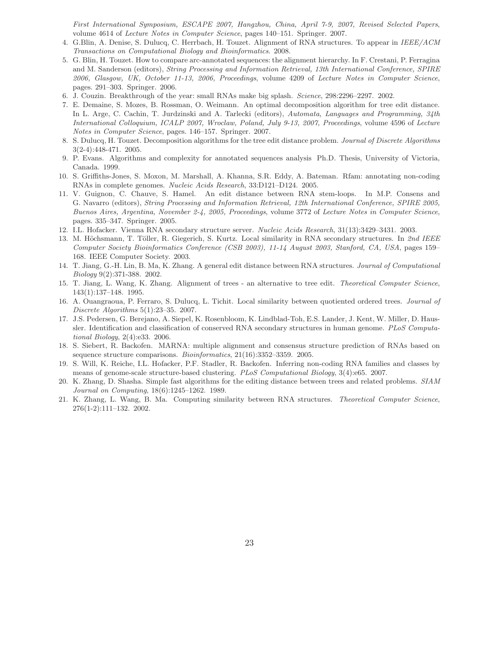First International Symposium, ESCAPE 2007, Hangzhou, China, April 7-9, 2007, Revised Selected Papers, volume 4614 of Lecture Notes in Computer Science, pages 140–151. Springer. 2007.

- 4. G.Blin, A. Denise, S. Dulucq, C. Herrbach, H. Touzet. Alignment of RNA structures. To appear in IEEE/ACM Transactions on Computational Biology and Bioinformatics. 2008.
- 5. G. Blin, H. Touzet. How to compare arc-annotated sequences: the alignment hierarchy. In F. Crestani, P. Ferragina and M. Sanderson (editors), String Processing and Information Retrieval, 13th International Conference, SPIRE 2006, Glasgow, UK, October 11-13, 2006, Proceedings, volume 4209 of Lecture Notes in Computer Science, pages. 291–303. Springer. 2006.
- 6. J. Couzin. Breakthrough of the year: small RNAs make big splash. Science, 298:2296–2297. 2002.
- 7. E. Demaine, S. Mozes, B. Rossman, O. Weimann. An optimal decomposition algorithm for tree edit distance. In L. Arge, C. Cachin, T. Jurdzinski and A. Tarlecki (editors), Automata, Languages and Programming, 34th International Colloquium, ICALP 2007, Wroclaw, Poland, July 9-13, 2007, Proceedings, volume 4596 of Lecture Notes in Computer Science, pages. 146–157. Springer. 2007.
- 8. S. Dulucq, H. Touzet. Decomposition algorithms for the tree edit distance problem. Journal of Discrete Algorithms 3(2-4):448-471. 2005.
- 9. P. Evans. Algorithms and complexity for annotated sequences analysis Ph.D. Thesis, University of Victoria, Canada. 1999.
- 10. S. Griffiths-Jones, S. Moxon, M. Marshall, A. Khanna, S.R. Eddy, A. Bateman. Rfam: annotating non-coding RNAs in complete genomes. Nucleic Acids Research, 33:D121–D124. 2005.
- 11. V. Guignon, C. Chauve, S. Hamel. An edit distance between RNA stem-loops. In M.P. Consens and G. Navarro (editors), String Processing and Information Retrieval, 12th International Conference, SPIRE 2005, Buenos Aires, Argentina, November 2-4, 2005, Proceedings, volume 3772 of Lecture Notes in Computer Science, pages. 335–347. Springer. 2005.
- 12. I.L. Hofacker. Vienna RNA secondary structure server. Nucleic Acids Research, 31(13):3429–3431. 2003.
- 13. M. Höchsmann, T. Töller, R. Giegerich, S. Kurtz. Local similarity in RNA secondary structures. In 2nd IEEE Computer Society Bioinformatics Conference (CSB 2003), 11-14 August 2003, Stanford, CA, USA, pages 159– 168. IEEE Computer Society. 2003.
- 14. T. Jiang, G.-H. Lin, B. Ma, K. Zhang. A general edit distance between RNA structures. Journal of Computational Biology 9(2):371-388. 2002.
- 15. T. Jiang, L. Wang, K. Zhang. Alignment of trees an alternative to tree edit. Theoretical Computer Science, 143(1):137–148. 1995.
- 16. A. Ouangraoua, P. Ferraro, S. Dulucq, L. Tichit. Local similarity between quotiented ordered trees. Journal of Discrete Algorithms 5(1):23–35. 2007.
- 17. J.S. Pedersen, G. Berejano, A. Siepel, K. Rosenbloom, K. Lindblad-Toh, E.S. Lander, J. Kent, W. Miller, D. Haussler. Identification and classification of conserved RNA secondary structures in human genome. PLoS Computational Biology, 2(4):e33. 2006.
- 18. S. Siebert, R. Backofen. MARNA: multiple alignment and consensus structure prediction of RNAs based on sequence structure comparisons. *Bioinformatics*,  $21(16):3352-3359$ . 2005.
- 19. S. Will, K. Reiche, I.L. Hofacker, P.F. Stadler, R. Backofen. Inferring non-coding RNA families and classes by means of genome-scale structure-based clustering. PLoS Computational Biology, 3(4):e65. 2007.
- 20. K. Zhang, D. Shasha. Simple fast algorithms for the editing distance between trees and related problems. SIAM Journal on Computing, 18(6):1245–1262. 1989.
- 21. K. Zhang, L. Wang, B. Ma. Computing similarity between RNA structures. Theoretical Computer Science, 276(1-2):111–132. 2002.